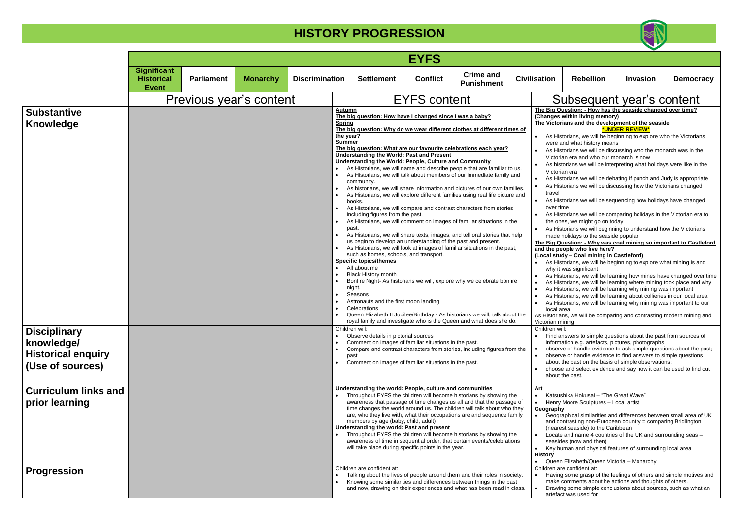#### **The Big Question: - Why was coal mining so important to Castleford and is ople who live here?**

|                                                                                                          |                                                         |                         |                 |                                                                                                                                                                     |                                                                                                                                                                                                                                                                                                                                                                                                                                                                                                                                                                                                                                                                                                                                                                                                                                                                                                                                                                                                                                                                                                                                                                                                                                                                                                                                                                                                                                                                                                                                                                                                                                                                                                                 | <b>EYFS</b>         |                                       |  |                                                       |                                                                                                                                                                                                                                                                                                                                                                                                                                                                                                                                                                                                                                                                                                                                                                                                                                                                                                                                                                                                                                                                                                                                                                                                                                                                                                                                                                                                                                                                                                                                                                                                                                                                                                                                                                                                                                                                                                                   |                 |                  |
|----------------------------------------------------------------------------------------------------------|---------------------------------------------------------|-------------------------|-----------------|---------------------------------------------------------------------------------------------------------------------------------------------------------------------|-----------------------------------------------------------------------------------------------------------------------------------------------------------------------------------------------------------------------------------------------------------------------------------------------------------------------------------------------------------------------------------------------------------------------------------------------------------------------------------------------------------------------------------------------------------------------------------------------------------------------------------------------------------------------------------------------------------------------------------------------------------------------------------------------------------------------------------------------------------------------------------------------------------------------------------------------------------------------------------------------------------------------------------------------------------------------------------------------------------------------------------------------------------------------------------------------------------------------------------------------------------------------------------------------------------------------------------------------------------------------------------------------------------------------------------------------------------------------------------------------------------------------------------------------------------------------------------------------------------------------------------------------------------------------------------------------------------------|---------------------|---------------------------------------|--|-------------------------------------------------------|-------------------------------------------------------------------------------------------------------------------------------------------------------------------------------------------------------------------------------------------------------------------------------------------------------------------------------------------------------------------------------------------------------------------------------------------------------------------------------------------------------------------------------------------------------------------------------------------------------------------------------------------------------------------------------------------------------------------------------------------------------------------------------------------------------------------------------------------------------------------------------------------------------------------------------------------------------------------------------------------------------------------------------------------------------------------------------------------------------------------------------------------------------------------------------------------------------------------------------------------------------------------------------------------------------------------------------------------------------------------------------------------------------------------------------------------------------------------------------------------------------------------------------------------------------------------------------------------------------------------------------------------------------------------------------------------------------------------------------------------------------------------------------------------------------------------------------------------------------------------------------------------------------------------|-----------------|------------------|
|                                                                                                          | <b>Significant</b><br><b>Historical</b><br><b>Event</b> | <b>Parliament</b>       | <b>Monarchy</b> | <b>Discrimination</b>                                                                                                                                               | <b>Settlement</b>                                                                                                                                                                                                                                                                                                                                                                                                                                                                                                                                                                                                                                                                                                                                                                                                                                                                                                                                                                                                                                                                                                                                                                                                                                                                                                                                                                                                                                                                                                                                                                                                                                                                                               | <b>Conflict</b>     | <b>Crime and</b><br><b>Punishment</b> |  | <b>Civilisation</b>                                   | <b>Rebellion</b>                                                                                                                                                                                                                                                                                                                                                                                                                                                                                                                                                                                                                                                                                                                                                                                                                                                                                                                                                                                                                                                                                                                                                                                                                                                                                                                                                                                                                                                                                                                                                                                                                                                                                                                                                                                                                                                                                                  | <b>Invasion</b> | <b>Democracy</b> |
|                                                                                                          |                                                         | Previous year's content |                 |                                                                                                                                                                     |                                                                                                                                                                                                                                                                                                                                                                                                                                                                                                                                                                                                                                                                                                                                                                                                                                                                                                                                                                                                                                                                                                                                                                                                                                                                                                                                                                                                                                                                                                                                                                                                                                                                                                                 | <b>EYFS content</b> |                                       |  |                                                       | Subsequent year's content                                                                                                                                                                                                                                                                                                                                                                                                                                                                                                                                                                                                                                                                                                                                                                                                                                                                                                                                                                                                                                                                                                                                                                                                                                                                                                                                                                                                                                                                                                                                                                                                                                                                                                                                                                                                                                                                                         |                 |                  |
| <b>Substantive</b><br><b>Knowledge</b><br><b>Disciplinary</b><br>knowledge/<br><b>Historical enquiry</b> |                                                         |                         |                 | $\bullet$<br>$\bullet$<br>$\bullet$<br>$\bullet$<br>$\bullet$<br>$\bullet$<br>Compare and contrast characters from stories, including figures from the<br>$\bullet$ | Autumn<br>The big question: How have I changed since I was a baby?<br><b>Spring</b><br>The big question: Why do we wear different clothes at different times of<br>the year?<br><b>Summer</b><br>The big question: What are our favourite celebrations each year?<br><b>Understanding the World: Past and Present</b><br>Understanding the World: People, Culture and Community<br>As Historians, we will name and describe people that are familiar to us.<br>As Historians, we will talk about members of our immediate family and<br>community.<br>As historians, we will share information and pictures of our own families.<br>As Historians, we will explore different families using real life picture and<br>books.<br>As Historians, we will compare and contrast characters from stories<br>including figures from the past.<br>As Historians, we will comment on images of familiar situations in the<br>past<br>As Historians, we will share texts, images, and tell oral stories that help<br>us begin to develop an understanding of the past and present.<br>As Historians, we will look at images of familiar situations in the past,<br>such as homes, schools, and transport.<br><b>Specific topics/themes</b><br>All about me<br><b>Black History month</b><br>Bonfire Night- As historians we will, explore why we celebrate bonfire<br>night.<br>Seasons<br>Astronauts and the first moon landing<br>Celebrations<br>Queen Elizabeth II Jubilee/Birthday - As historians we will, talk about the<br>royal family and investigate who is the Queen and what does she do.<br>Children will:<br>Observe details in pictorial sources<br>Comment on images of familiar situations in the past. |                     |                                       |  |                                                       | The Big Question: - How has the seaside changed over time?<br>(Changes within living memory)<br>The Victorians and the development of the seaside<br>As Historians, we will be beginning to explore who the Victorians<br>were and what history means<br>As Historians we will be discussing who the monarch was in the<br>Victorian era and who our monarch is now<br>As historians we will be interpreting what holidays were like in the<br>Victorian era<br>As Historians we will be debating if punch and Judy is appropriate<br>As Historians we will be discussing how the Victorians changed<br>As Historians we will be sequencing how holidays have changed<br>over time<br>As Historians we will be comparing holidays in the Victorian era to<br>the ones, we might go on today<br>As Historians we will beginning to understand how the Victorians<br>made holidays to the seaside popular<br>The Big Question: - Why was coal mining so important to Castlefore<br>and the people who live here?<br>(Local study - Coal mining in Castleford)<br>As Historians, we will be beginning to explore what mining is and<br>why it was significant<br>As Historians, we will be learning how mines have changed over tim<br>As Historians, we will be learning where mining took place and why<br>As Historians, we will be learning why mining was important<br>As Historians, we will be learning about collieries in our local area<br>As Historians, we will be learning why mining was important to our<br>local area<br>As Historians, we will be comparing and contrasting modern mining and<br>Victorian mining<br>Children will:<br>Find answers to simple questions about the past from sources of<br>information e.g. artefacts, pictures, photographs<br>observe or handle evidence to ask simple questions about the past;<br>observe or handle evidence to find answers to simple questions | *UNDER REVIEW*  |                  |
| (Use of sources)<br><b>Curriculum links and</b>                                                          |                                                         |                         |                 | $\bullet$                                                                                                                                                           | Comment on images of familiar situations in the past.<br>Understanding the world: People, culture and communities<br>Throughout EYFS the children will become historians by showing the                                                                                                                                                                                                                                                                                                                                                                                                                                                                                                                                                                                                                                                                                                                                                                                                                                                                                                                                                                                                                                                                                                                                                                                                                                                                                                                                                                                                                                                                                                                         |                     |                                       |  | Art                                                   | about the past on the basis of simple observations;<br>choose and select evidence and say how it can be used to find out<br>about the past.<br>Katsushika Hokusai – "The Great Wave"                                                                                                                                                                                                                                                                                                                                                                                                                                                                                                                                                                                                                                                                                                                                                                                                                                                                                                                                                                                                                                                                                                                                                                                                                                                                                                                                                                                                                                                                                                                                                                                                                                                                                                                              |                 |                  |
| prior learning                                                                                           |                                                         |                         |                 |                                                                                                                                                                     | awareness that passage of time changes us all and that the passage of<br>time changes the world around us. The children will talk about who they<br>are, who they live with, what their occupations are and sequence family<br>members by age (baby, child, adult)<br>Understanding the world: Past and present<br>Throughout EYFS the children will become historians by showing the<br>awareness of time in sequential order, that certain events/celebrations<br>will take place during specific points in the year.                                                                                                                                                                                                                                                                                                                                                                                                                                                                                                                                                                                                                                                                                                                                                                                                                                                                                                                                                                                                                                                                                                                                                                                         |                     |                                       |  | $\bullet$<br>Geography<br>$\bullet$<br><b>History</b> | Henry Moore Sculptures - Local artist<br>Geographical similarities and differences between small area of UK<br>and contrasting non-European country = comparing Bridlington<br>(nearest seaside) to the Caribbean<br>Locate and name 4 countries of the UK and surrounding seas -<br>seasides (now and then)<br>Key human and physical features of surrounding local area<br>• Queen Elizabeth/Queen Victoria - Monarchy                                                                                                                                                                                                                                                                                                                                                                                                                                                                                                                                                                                                                                                                                                                                                                                                                                                                                                                                                                                                                                                                                                                                                                                                                                                                                                                                                                                                                                                                                          |                 |                  |
| <b>Progression</b>                                                                                       |                                                         |                         |                 |                                                                                                                                                                     | Children are confident at:<br>Talking about the lives of people around them and their roles in society.<br>Knowing some similarities and differences between things in the past<br>and now, drawing on their experiences and what has been read in class.                                                                                                                                                                                                                                                                                                                                                                                                                                                                                                                                                                                                                                                                                                                                                                                                                                                                                                                                                                                                                                                                                                                                                                                                                                                                                                                                                                                                                                                       |                     |                                       |  |                                                       | Children are confident at:<br>Having some grasp of the feelings of others and simple motives and<br>make comments about he actions and thoughts of others.<br>Drawing some simple conclusions about sources, such as what an<br>artefact was used for                                                                                                                                                                                                                                                                                                                                                                                                                                                                                                                                                                                                                                                                                                                                                                                                                                                                                                                                                                                                                                                                                                                                                                                                                                                                                                                                                                                                                                                                                                                                                                                                                                                             |                 |                  |



### ubsequent year's content

### **(Local study – Coal mining in Castleford)**

ng some simple conclusions about sources, such as what an t was used for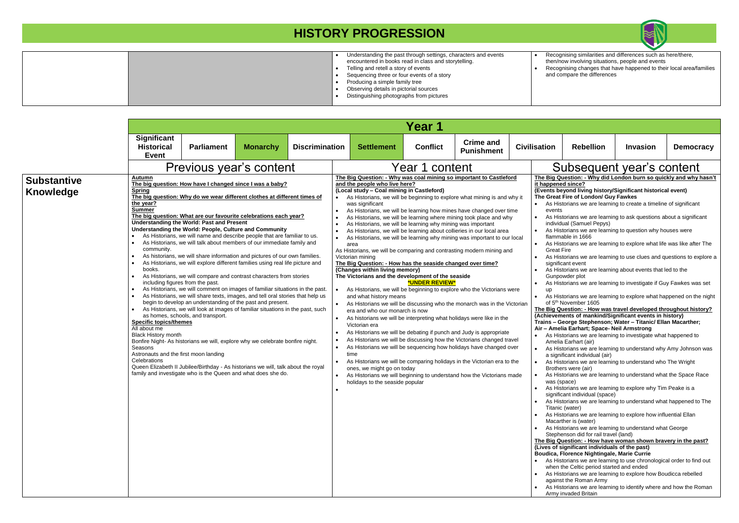|  | Understanding the past through settings, characters and events | Reco   |
|--|----------------------------------------------------------------|--------|
|  | encountered in books read in class and storytelling.           | then/r |
|  | Telling and retell a story of events                           | Reco   |
|  | Sequencing three or four events of a story                     | and c  |
|  | Producing a simple family tree                                 |        |
|  | Observing details in pictorial sources                         |        |
|  | Distinguishing photographs from pictures                       |        |
|  |                                                                |        |

• Recognising similarities and differences such as here/there, then/now involving situations, people and events • Recognising changes that have happened to their local area/families and compare the differences

|                                        |                                                                                                                                                                                                                                                                                                                                                                                                                                                                                                                                                                                                                                                                                                                                                                                                                                                                                                                                                                                                                                                                                                                                                                                                                                                                                                                                                                                                                   |                                                                                                                                                    |                                                                                                                                                                                                                                                                                                                                                                                                                                                                                                                                                                                                                                                                                                                                                                                                                                                                                                                                                                                                                                                                                                                                                                                                                                                             |                                         |  |                                                                                                                                                                                                                                                                                                                                                                          | Year 1                                                                                                                                                                                                                                                                                                                                                                                                                                                                                                                                                                                                                                                                                                                                                                                                                                                                                                                                                                                                                                                                                                                                                                                                                                               |                                       |                     |             |                                                                                                                                                                                                                                                                                                                                                                                                                                                                                                                                                                                                                                                                                                                                                                                                                                                                                                                                                                                                                                                                                                                                   |                 |       |
|----------------------------------------|-------------------------------------------------------------------------------------------------------------------------------------------------------------------------------------------------------------------------------------------------------------------------------------------------------------------------------------------------------------------------------------------------------------------------------------------------------------------------------------------------------------------------------------------------------------------------------------------------------------------------------------------------------------------------------------------------------------------------------------------------------------------------------------------------------------------------------------------------------------------------------------------------------------------------------------------------------------------------------------------------------------------------------------------------------------------------------------------------------------------------------------------------------------------------------------------------------------------------------------------------------------------------------------------------------------------------------------------------------------------------------------------------------------------|----------------------------------------------------------------------------------------------------------------------------------------------------|-------------------------------------------------------------------------------------------------------------------------------------------------------------------------------------------------------------------------------------------------------------------------------------------------------------------------------------------------------------------------------------------------------------------------------------------------------------------------------------------------------------------------------------------------------------------------------------------------------------------------------------------------------------------------------------------------------------------------------------------------------------------------------------------------------------------------------------------------------------------------------------------------------------------------------------------------------------------------------------------------------------------------------------------------------------------------------------------------------------------------------------------------------------------------------------------------------------------------------------------------------------|-----------------------------------------|--|--------------------------------------------------------------------------------------------------------------------------------------------------------------------------------------------------------------------------------------------------------------------------------------------------------------------------------------------------------------------------|------------------------------------------------------------------------------------------------------------------------------------------------------------------------------------------------------------------------------------------------------------------------------------------------------------------------------------------------------------------------------------------------------------------------------------------------------------------------------------------------------------------------------------------------------------------------------------------------------------------------------------------------------------------------------------------------------------------------------------------------------------------------------------------------------------------------------------------------------------------------------------------------------------------------------------------------------------------------------------------------------------------------------------------------------------------------------------------------------------------------------------------------------------------------------------------------------------------------------------------------------|---------------------------------------|---------------------|-------------|-----------------------------------------------------------------------------------------------------------------------------------------------------------------------------------------------------------------------------------------------------------------------------------------------------------------------------------------------------------------------------------------------------------------------------------------------------------------------------------------------------------------------------------------------------------------------------------------------------------------------------------------------------------------------------------------------------------------------------------------------------------------------------------------------------------------------------------------------------------------------------------------------------------------------------------------------------------------------------------------------------------------------------------------------------------------------------------------------------------------------------------|-----------------|-------|
|                                        | <b>Significant</b><br><b>Historical</b><br><b>Event</b>                                                                                                                                                                                                                                                                                                                                                                                                                                                                                                                                                                                                                                                                                                                                                                                                                                                                                                                                                                                                                                                                                                                                                                                                                                                                                                                                                           | <b>Parliament</b>                                                                                                                                  | <b>Monarchy</b>                                                                                                                                                                                                                                                                                                                                                                                                                                                                                                                                                                                                                                                                                                                                                                                                                                                                                                                                                                                                                                                                                                                                                                                                                                             |                                         |  | <b>Settlement</b>                                                                                                                                                                                                                                                                                                                                                        | <b>Conflict</b>                                                                                                                                                                                                                                                                                                                                                                                                                                                                                                                                                                                                                                                                                                                                                                                                                                                                                                                                                                                                                                                                                                                                                                                                                                      | <b>Crime and</b><br><b>Punishment</b> | <b>Civilisation</b> |             | <b>Rebellion</b>                                                                                                                                                                                                                                                                                                                                                                                                                                                                                                                                                                                                                                                                                                                                                                                                                                                                                                                                                                                                                                                                                                                  | <b>Invasion</b> | Democ |
| <b>Substantive</b><br><b>Knowledge</b> | <b>Discrimination</b><br>Previous year's content<br>Autumn<br>The big question: How have I changed since I was a baby?<br><b>Spring</b><br>The big question: Why do we wear different clothes at different times of<br>the year?<br><b>Summer</b><br>The big question: What are our favourite celebrations each year?<br><b>Understanding the World: Past and Present</b><br>Understanding the World: People, Culture and Community<br>As Historians, we will name and describe people that are familiar to us.<br>As Historians, we will talk about members of our immediate family and<br>community.<br>As historians, we will share information and pictures of our own families.<br>As Historians, we will explore different families using real life picture and<br>books.<br>As Historians, we will compare and contrast characters from stories<br>including figures from the past.<br>As Historians, we will comment on images of familiar situations in the past.<br>As Historians, we will share texts, images, and tell oral stories that help us<br>begin to develop an understanding of the past and present.<br>As Historians, we will look at images of familiar situations in the past, such<br>as homes, schools, and transport.<br><b>Specific topics/themes</b><br>All about me<br><b>Black History month</b><br>Bonfire Night- As historians we will, explore why we celebrate bonfire night. | $\bullet$                                                                                                                                          | The Big Question: - Why was coal mining so important to Castleford<br>and the people who live here?<br>(Local study - Coal mining in Castleford)<br>As Historians, we will be beginning to explore what mining is and why it<br>was significant<br>As Historians, we will be learning how mines have changed over time<br>As Historians, we will be learning where mining took place and why<br>As Historians, we will be learning why mining was important<br>As Historians, we will be learning about collieries in our local area<br>As Historians, we will be learning why mining was important to our local<br>area<br>As Historians, we will be comparing and contrasting modern mining and<br>Victorian mining<br>The Big Question: - How has the seaside changed over time?<br>(Changes within living memory)<br>The Victorians and the development of the seaside<br>As Historians, we will be beginning to explore who the Victorians were<br>and what history means<br>As Historians we will be discussing who the monarch was in the Victorian<br>era and who our monarch is now<br>As historians we will be interpreting what holidays were like in the<br>Victorian era<br>As Historians we will be debating if punch and Judy is appropriate | Year 1 content<br><b>*UNDER REVIEW*</b> |  |                                                                                                                                                                                                                                                                                                                                                                          | Subsequent year's content<br>The Big Question: - Why did London burn so quickly and why<br>it happened since?<br>(Events beyond living history/Significant historical event)<br>The Great Fire of London/ Guy Fawkes<br>• As Historians we are learning to create a timeline of significant<br>events<br>As Historians we are learning to ask questions about a signific<br>individual (Samuel Pepys)<br>As Historians we are learning to question why houses were<br>flammable in 1666<br>As Historians we are learning to explore what life was like afte<br><b>Great Fire</b><br>As Historians we are learning to use clues and questions to ex<br>significant event<br>As Historians we are learning about events that led to the<br>Gunpowder plot<br>As Historians we are learning to investigate if Guy Fawkes wa<br><b>up</b><br>As Historians we are learning to explore what happened on the<br>of 5 <sup>th</sup> November 1605<br>The Big Question: - How was travel developed throughout his<br>(Achievements of mankind/Significant events in history)<br>Trains - George Stephenson; Water - Titanic/ Ellan Macarther<br>Air - Amelia Earhart; Space- Neil Armstrong<br>As Historians we are learning to investigate what happened to |                                       |                     |             |                                                                                                                                                                                                                                                                                                                                                                                                                                                                                                                                                                                                                                                                                                                                                                                                                                                                                                                                                                                                                                                                                                                                   |                 |       |
|                                        | Seasons<br>Astronauts and the first moon landing<br>Celebrations                                                                                                                                                                                                                                                                                                                                                                                                                                                                                                                                                                                                                                                                                                                                                                                                                                                                                                                                                                                                                                                                                                                                                                                                                                                                                                                                                  | Queen Elizabeth II Jubilee/Birthday - As historians we will, talk about the royal<br>family and investigate who is the Queen and what does she do. |                                                                                                                                                                                                                                                                                                                                                                                                                                                                                                                                                                                                                                                                                                                                                                                                                                                                                                                                                                                                                                                                                                                                                                                                                                                             |                                         |  | As Historians we will be discussing how the Victorians changed travel<br>As Historians we will be sequencing how holidays have changed over<br>time<br>As Historians we will be comparing holidays in the Victorian era to the<br>ones, we might go on today<br>As Historians we will beginning to understand how the Victorians made<br>holidays to the seaside popular |                                                                                                                                                                                                                                                                                                                                                                                                                                                                                                                                                                                                                                                                                                                                                                                                                                                                                                                                                                                                                                                                                                                                                                                                                                                      |                                       |                     | was (space) | Amelia Earhart (air)<br>As Historians we are learning to understand why Amy Johnsor<br>a significant individual (air)<br>As Historians we are learning to understand who The Wright<br>Brothers were (air)<br>As Historians we are learning to understand what the Space R<br>As Historians we are learning to explore why Tim Peake is a<br>significant individual (space)<br>As Historians we are learning to understand what happened to<br>Titanic (water)<br>As Historians we are learning to explore how influential Ellan<br>Macarther is (water)<br>As Historians we are learning to understand what George<br>Stephenson did for rail travel (land)<br>The Big Question: - How have woman shown bravery in the pa<br>(Lives of significant individuals of the past)<br>Boudica, Florence Nightingale, Marie Currie<br>• As Historians we are learning to use chronological order to fine<br>when the Celtic period started and ended<br>As Historians we are learning to explore how Boudicca rebelle<br>against the Roman Army<br>As Historians we are learning to identify where and how the R<br>Army invaded Britain |                 |       |



| <b>Crime and</b><br><b>Punishment</b>                                                                                |                                                                                                                                                                 | <b>Civilisation</b>                                                 | <b>Rebellion</b>                                                                                                                                                                                                                                                                                                                         | <b>Invasion</b> | <b>Democracy</b> |  |  |
|----------------------------------------------------------------------------------------------------------------------|-----------------------------------------------------------------------------------------------------------------------------------------------------------------|---------------------------------------------------------------------|------------------------------------------------------------------------------------------------------------------------------------------------------------------------------------------------------------------------------------------------------------------------------------------------------------------------------------------|-----------------|------------------|--|--|
| :nt                                                                                                                  |                                                                                                                                                                 |                                                                     | Subsequent year's content                                                                                                                                                                                                                                                                                                                |                 |                  |  |  |
| portant to Castleford                                                                                                |                                                                                                                                                                 |                                                                     | The Big Question: - Why did London burn so quickly and why hasn't                                                                                                                                                                                                                                                                        |                 |                  |  |  |
| what mining is and why it<br>ave changed over time<br>g took place and why<br>was important<br>ies in our local area |                                                                                                                                                                 | it happened since?<br>$\bullet$<br>events<br>$\bullet$<br>$\bullet$ | (Events beyond living history/Significant historical event)<br>The Great Fire of London/ Guy Fawkes<br>As Historians we are learning to create a timeline of significant<br>As Historians we are learning to ask questions about a significant<br>individual (Samuel Pepys)<br>As Historians we are learning to question why houses were |                 |                  |  |  |
| was important to our local<br>g modern mining and                                                                    |                                                                                                                                                                 | $\bullet$<br><b>Great Fire</b>                                      | flammable in 1666<br>As Historians we are learning to explore what life was like after The                                                                                                                                                                                                                                               |                 |                  |  |  |
| ed over time?                                                                                                        |                                                                                                                                                                 | $\bullet$<br>$\bullet$                                              | As Historians we are learning to use clues and questions to explore a<br>significant event<br>As Historians we are learning about events that led to the                                                                                                                                                                                 |                 |                  |  |  |
| side                                                                                                                 |                                                                                                                                                                 | $\bullet$                                                           | Gunpowder plot<br>As Historians we are learning to investigate if Guy Fawkes was set                                                                                                                                                                                                                                                     |                 |                  |  |  |
| who the Victorians were                                                                                              |                                                                                                                                                                 | up<br>$\bullet$                                                     | As Historians we are learning to explore what happened on the night                                                                                                                                                                                                                                                                      |                 |                  |  |  |
| onarch was in the Victorian                                                                                          | of 5 <sup>th</sup> November 1605<br>The Big Question: - How was travel developed throughout history?<br>(Achievements of mankind/Significant events in history) |                                                                     |                                                                                                                                                                                                                                                                                                                                          |                 |                  |  |  |
| lays were like in the                                                                                                |                                                                                                                                                                 |                                                                     | Trains - George Stephenson; Water - Titanic/ Ellan Macarther;<br>Air - Amelia Earhart; Space- Neil Armstrong                                                                                                                                                                                                                             |                 |                  |  |  |
| Judy is appropriate                                                                                                  |                                                                                                                                                                 | $\bullet$                                                           | As Historians we are learning to investigate what happened to                                                                                                                                                                                                                                                                            |                 |                  |  |  |
| ictorians changed travel                                                                                             |                                                                                                                                                                 |                                                                     | Amelia Earhart (air)                                                                                                                                                                                                                                                                                                                     |                 |                  |  |  |
| lays have changed over                                                                                               |                                                                                                                                                                 | $\bullet$                                                           | As Historians we are learning to understand why Amy Johnson was<br>a significant individual (air)                                                                                                                                                                                                                                        |                 |                  |  |  |
| the Victorian era to the                                                                                             |                                                                                                                                                                 | $\bullet$                                                           | As Historians we are learning to understand who The Wright<br>Brothers were (air)                                                                                                                                                                                                                                                        |                 |                  |  |  |
| how the Victorians made                                                                                              |                                                                                                                                                                 | $\bullet$<br>was (space)<br>$\bullet$                               | As Historians we are learning to understand what the Space Race<br>As Historians we are learning to explore why Tim Peake is a<br>significant individual (space)                                                                                                                                                                         |                 |                  |  |  |
|                                                                                                                      |                                                                                                                                                                 | $\bullet$                                                           | As Historians we are learning to understand what happened to The<br>Titanic (water)                                                                                                                                                                                                                                                      |                 |                  |  |  |
|                                                                                                                      |                                                                                                                                                                 | $\bullet$<br>$\bullet$                                              | As Historians we are learning to explore how influential Ellan<br>Macarther is (water)<br>As Historians we are learning to understand what George                                                                                                                                                                                        |                 |                  |  |  |
|                                                                                                                      |                                                                                                                                                                 |                                                                     | Stephenson did for rail travel (land)<br>The Big Question: - How have woman shown bravery in the past?                                                                                                                                                                                                                                   |                 |                  |  |  |
|                                                                                                                      |                                                                                                                                                                 |                                                                     | (Lives of significant individuals of the past)                                                                                                                                                                                                                                                                                           |                 |                  |  |  |
|                                                                                                                      |                                                                                                                                                                 | $\bullet$                                                           | Boudica, Florence Nightingale, Marie Currie<br>As Historians we are learning to use chronological order to find out<br>when the Celtic period started and ended                                                                                                                                                                          |                 |                  |  |  |
|                                                                                                                      |                                                                                                                                                                 | $\bullet$                                                           | As Historians we are learning to explore how Boudicca rebelled<br>against the Roman Army                                                                                                                                                                                                                                                 |                 |                  |  |  |
|                                                                                                                      |                                                                                                                                                                 | $\bullet$                                                           | As Historians we are learning to identify where and how the Roman<br>Army invaded Britain                                                                                                                                                                                                                                                |                 |                  |  |  |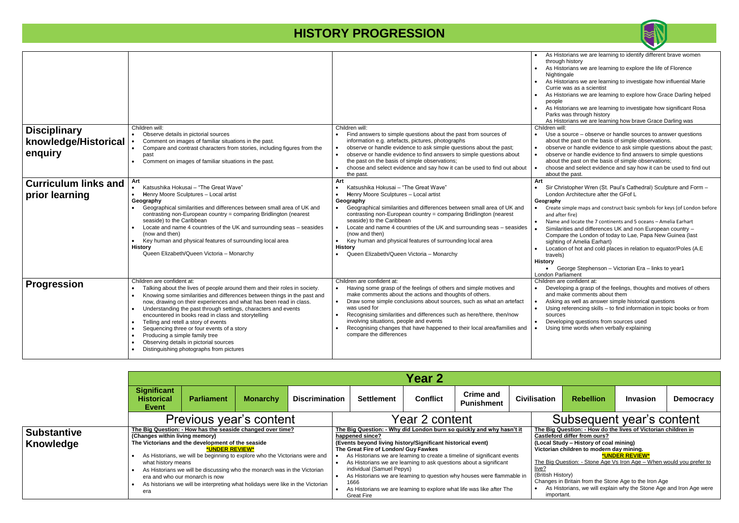|                                                        |                                                                                                                                                                                                                                                                                                                                                                                                                                                                                                                                                                                                                            |                                                                                                                                                                                                                                                                                                                                                                                                                                                                                                                                 | As His<br>$\bullet$<br>throug<br>As His<br>Nighti<br>As His<br>$\bullet$<br>Currie<br>As His<br>peopl<br>As His<br>Parks<br>As His                                                              |
|--------------------------------------------------------|----------------------------------------------------------------------------------------------------------------------------------------------------------------------------------------------------------------------------------------------------------------------------------------------------------------------------------------------------------------------------------------------------------------------------------------------------------------------------------------------------------------------------------------------------------------------------------------------------------------------------|---------------------------------------------------------------------------------------------------------------------------------------------------------------------------------------------------------------------------------------------------------------------------------------------------------------------------------------------------------------------------------------------------------------------------------------------------------------------------------------------------------------------------------|-------------------------------------------------------------------------------------------------------------------------------------------------------------------------------------------------|
| <b>Disciplinary</b><br>knowledge/Historical<br>enquiry | Children will:<br>Observe details in pictorial sources<br>Comment on images of familiar situations in the past.<br>Compare and contrast characters from stories, including figures from the<br>$\bullet$<br>past<br>Comment on images of familiar situations in the past.                                                                                                                                                                                                                                                                                                                                                  | Children will:<br>Find answers to simple questions about the past from sources of<br>information e.g. artefacts, pictures, photographs<br>observe or handle evidence to ask simple questions about the past;<br>observe or handle evidence to find answers to simple questions about<br>the past on the basis of simple observations;<br>choose and select evidence and say how it can be used to find out about<br>the past.                                                                                                   | Children w<br>Use a<br>about<br>obser<br>$\bullet$<br>obser<br>about<br>choos<br>$\bullet$<br>about                                                                                             |
| <b>Curriculum links and</b><br>prior learning          | Art<br>Katsushika Hokusai - "The Great Wave"<br>Henry Moore Sculptures - Local artist<br>$\bullet$<br>Geography<br>Geographical similarities and differences between small area of UK and<br>contrasting non-European country = comparing Bridlington (nearest<br>seaside) to the Caribbean<br>Locate and name 4 countries of the UK and surrounding seas - seasides<br>(now and then)<br>Key human and physical features of surrounding local area<br><b>History</b><br>Queen Elizabeth/Queen Victoria - Monarchy                                                                                                         | Art<br>Katsushika Hokusai - "The Great Wave"<br>$\bullet$<br>Henry Moore Sculptures - Local artist<br>Geography<br>Geographical similarities and differences between small area of UK and<br>contrasting non-European country = comparing Bridlington (nearest<br>seaside) to the Caribbean<br>Locate and name 4 countries of the UK and surrounding seas - seasides<br>(now and then)<br>Key human and physical features of surrounding local area<br><b>History</b><br>Queen Elizabeth/Queen Victoria - Monarchy<br>$\bullet$ | Art<br>Sir Ch<br>$\bullet$<br>Londo<br>Geography<br>Create<br>$\bullet$<br>and af<br>Name<br>$\bullet$<br>Simila<br>Comp<br>sightir<br>Locati<br>travel:<br>History<br>$\bullet$ G<br>London Pa |
| <b>Progression</b>                                     | Children are confident at:<br>Talking about the lives of people around them and their roles in society.<br>Knowing some similarities and differences between things in the past and<br>$\bullet$<br>now, drawing on their experiences and what has been read in class.<br>Understanding the past through settings, characters and events<br>encountered in books read in class and storytelling<br>Telling and retell a story of events<br>Sequencing three or four events of a story<br>Producing a simple family tree<br>$\bullet$<br>Observing details in pictorial sources<br>Distinguishing photographs from pictures | Children are confident at:<br>Having some grasp of the feelings of others and simple motives and<br>make comments about the actions and thoughts of others.<br>Draw some simple conclusions about sources, such as what an artefact<br>was used for<br>Recognising similarities and differences such as here/there, then/now<br>involving situations, people and events<br>Recognising changes that have happened to their local area/families and<br>compare the differences                                                   | Children a<br>Devel<br>and m<br><b>Askin</b><br>$\bullet$<br>Using<br>sourc<br>Devel<br>Using                                                                                                   |

| <b>Crime and</b><br><b>Punishment</b> |  | <b>Civilisation</b>                                                                                                | <b>Rebellion</b>                                              | <b>Invasion</b>       | <b>Democracy</b> |  |  |  |
|---------------------------------------|--|--------------------------------------------------------------------------------------------------------------------|---------------------------------------------------------------|-----------------------|------------------|--|--|--|
| nt.                                   |  | Subsequent year's content                                                                                          |                                                               |                       |                  |  |  |  |
| uickly and why hasn't it              |  |                                                                                                                    | The Big Question: - How do the lives of Victorian children in |                       |                  |  |  |  |
| 'ical event)                          |  | Castleford differ from ours?<br>(Local Study – History of coal mining)<br>Victorian children to modern day mining. |                                                               |                       |                  |  |  |  |
| line of significant events            |  |                                                                                                                    |                                                               | <b>*UNDER REVIEW*</b> |                  |  |  |  |
| s about a significant                 |  | <u> The Big Question: - Stone Age Vs Iron Age – When would you prefer to</u><br>live?                              |                                                               |                       |                  |  |  |  |
| houses were flammable in              |  | (British History)<br>Changes in Britain from the Stone Age to the Iron Age                                         |                                                               |                       |                  |  |  |  |
| life was like after The               |  | As Historians, we will explain why the Stone Age and Iron Age were<br>٠<br>important.                              |                                                               |                       |                  |  |  |  |

|                                        | <b>Year 2</b>                                               |                                                                                                                                                                                                                                                                                                                                                                                                                 |                 |                       |                                                                                                                                                                                  |                 |                                                                                                                                                                                                                                                                                                                                                                           |  |                                                 |                                                                                                                                                                                                                                                                                                                                                                                 |                           |              |  |  |
|----------------------------------------|-------------------------------------------------------------|-----------------------------------------------------------------------------------------------------------------------------------------------------------------------------------------------------------------------------------------------------------------------------------------------------------------------------------------------------------------------------------------------------------------|-----------------|-----------------------|----------------------------------------------------------------------------------------------------------------------------------------------------------------------------------|-----------------|---------------------------------------------------------------------------------------------------------------------------------------------------------------------------------------------------------------------------------------------------------------------------------------------------------------------------------------------------------------------------|--|-------------------------------------------------|---------------------------------------------------------------------------------------------------------------------------------------------------------------------------------------------------------------------------------------------------------------------------------------------------------------------------------------------------------------------------------|---------------------------|--------------|--|--|
|                                        | <b>Significant</b><br><b>Historical</b><br><b>Event</b>     | <b>Parliament</b>                                                                                                                                                                                                                                                                                                                                                                                               | <b>Monarchy</b> | <b>Discrimination</b> | <b>Settlement</b>                                                                                                                                                                | <b>Conflict</b> | <b>Crime and</b><br><b>Punishment</b>                                                                                                                                                                                                                                                                                                                                     |  | <b>Civilisation</b>                             | <b>Rebellion</b>                                                                                                                                                                                                                                                                                                                                                                | <b>Invasion</b>           | <b>Democ</b> |  |  |
|                                        |                                                             | Previous year's content                                                                                                                                                                                                                                                                                                                                                                                         |                 |                       |                                                                                                                                                                                  | Year 2 content  |                                                                                                                                                                                                                                                                                                                                                                           |  |                                                 |                                                                                                                                                                                                                                                                                                                                                                                 | Subsequent year's content |              |  |  |
| <b>Substantive</b><br><b>Knowledge</b> | (Changes within living memory)<br>what history means<br>era | The Big Question: - How has the seaside changed over time?<br>The Victorians and the development of the seaside<br>*UNDER REVIEW*<br>As Historians, we will be beginning to explore who the Victorians were and<br>As Historians we will be discussing who the monarch was in the Victorian<br>era and who our monarch is now<br>As historians we will be interpreting what holidays were like in the Victorian |                 |                       | happened since?<br>(Events beyond living history/Significant historical event)<br>The Great Fire of London/ Guy Fawkes<br>individual (Samuel Pepys)<br>1666<br><b>Great Fire</b> |                 | The Big Question: - Why did London burn so quickly and why hasn't it<br>As Historians we are learning to create a timeline of significant events<br>As Historians we are learning to ask questions about a significant<br>As Historians we are learning to question why houses were flammable in<br>As Historians we are learning to explore what life was like after The |  | <u>live?</u><br>(British History)<br>important. | The Big Question: - How do the lives of Victorian children in<br>Castleford differ from ours?<br>(Local Study – History of coal mining)<br>Victorian children to modern day mining.<br>The Big Question: - Stone Age Vs Iron Age - When would you pre<br>Changes in Britain from the Stone Age to the Iron Age<br>As Historians, we will explain why the Stone Age and Iron Age | *UNDER REVIEW*            |              |  |  |



- istorians we are learning to identify different brave women igh history
- istorians we are learning to explore the life of Florence tingale
- istorians we are learning to investigate how influential Marie e was as a scientist
- istorians we are learning to explore how Grace Darling helped le
- istorians we are learning to investigate how significant Rosa s was through history
- **EXECT THE TIME OF THE TIME OF A HISTORIAN STATES IN A HISTORIAN WAS AND**  $\overline{\mathsf{will}}$ :
- a source observe or handle sources to answer questions t the past on the basis of simple observations.
- rve or handle evidence to ask simple questions about the past; rve or handle evidence to find answers to simple questions t the past on the basis of simple observations;
- se and select evidence and say how it can be used to find out t the past.
- hristopher Wren (St. Paul's Cathedral) Sculpture and Form lon Architecture after the GFof L

- e simple maps and construct basic symbols for keys (of London before  $fter fire$ )
- e and locate the 7 continents and 5 oceans Amelia Earhart
- larities and differences UK and non European country –
- pare the London of today to Lae, Papa New Guinea (last ing of Amelia Earhart)
- tion of hot and cold places in relation to equator/Poles (A.E ls)
- George Stephenson Victorian Era links to year1 arliament
- are confident at:
- loping a grasp of the feelings, thoughts and motives of others make comments about them
- ng as well as answer simple historical questions
- find referencing skills to find information in topic books or from .<br>ces
- loping questions from sources used
- time words when verbally explaining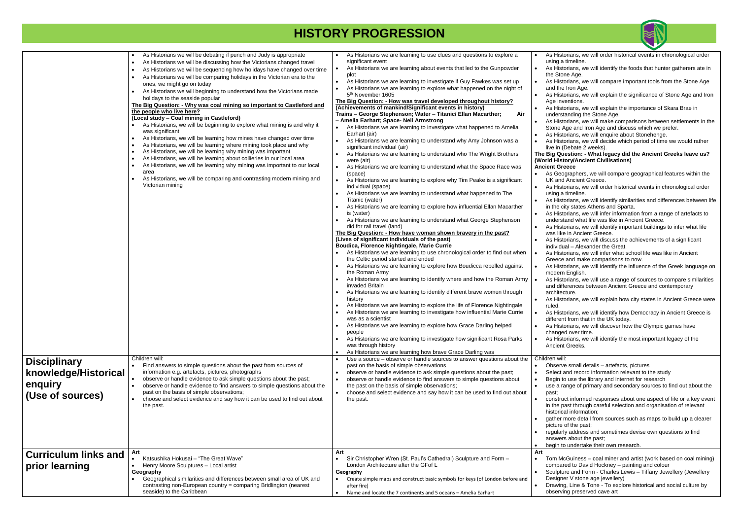|                             | As Historians we will be debating if punch and Judy is appropriate<br>$\bullet$                                                                                            | As Historians we are learning to use clues and questions to explore a<br>significant event                                          | As His<br>$\bullet$<br>using   |
|-----------------------------|----------------------------------------------------------------------------------------------------------------------------------------------------------------------------|-------------------------------------------------------------------------------------------------------------------------------------|--------------------------------|
|                             | As Historians we will be discussing how the Victorians changed travel<br>$\bullet$<br>As Historians we will be sequencing how holidays have changed over time<br>$\bullet$ | As Historians we are learning about events that led to the Gunpowder                                                                | As His<br>$\bullet$            |
|                             | As Historians we will be comparing holidays in the Victorian era to the                                                                                                    | plot                                                                                                                                | the St                         |
|                             | ones, we might go on today                                                                                                                                                 | As Historians we are learning to investigate if Guy Fawkes was set up                                                               | As His<br>$\bullet$            |
|                             | As Historians we will beginning to understand how the Victorians made                                                                                                      | As Historians we are learning to explore what happened on the night of                                                              | and th                         |
|                             | holidays to the seaside popular                                                                                                                                            | 5 <sup>th</sup> November 1605<br>The Big Question: - How was travel developed throughout history?                                   | As His<br>Age ir               |
|                             | The Big Question: - Why was coal mining so important to Castleford and                                                                                                     | (Achievements of mankind/Significant events in history)                                                                             | As His                         |
|                             | the people who live here?                                                                                                                                                  | Trains - George Stephenson; Water - Titanic/ Ellan Macarther;<br>Air                                                                | under                          |
|                             | (Local study - Coal mining in Castleford)<br>As Historians, we will be beginning to explore what mining is and why it                                                      | - Amelia Earhart; Space- Neil Armstrong                                                                                             | As His                         |
|                             | was significant                                                                                                                                                            | As Historians we are learning to investigate what happened to Amelia<br>Earhart (air)                                               | Stone                          |
|                             | As Historians, we will be learning how mines have changed over time<br>$\bullet$                                                                                           | As Historians we are learning to understand why Amy Johnson was a                                                                   | As His<br>As His               |
|                             | As Historians, we will be learning where mining took place and why<br>$\bullet$                                                                                            | significant individual (air)                                                                                                        | live in                        |
|                             | As Historians, we will be learning why mining was important<br>$\bullet$                                                                                                   | As Historians we are learning to understand who The Wright Brothers                                                                 | The Big Q                      |
|                             | As Historians, we will be learning about collieries in our local area<br>$\bullet$<br>As Historians, we will be learning why mining was important to our local             | were (air)                                                                                                                          | (World His                     |
|                             | area                                                                                                                                                                       | As Historians we are learning to understand what the Space Race was                                                                 | <b>Ancient G</b>               |
|                             | As Historians, we will be comparing and contrasting modern mining and                                                                                                      | (space)<br>As Historians we are learning to explore why Tim Peake is a significant                                                  | As Ge<br>UK an                 |
|                             | Victorian mining                                                                                                                                                           | individual (space)                                                                                                                  | As His                         |
|                             |                                                                                                                                                                            | As Historians we are learning to understand what happened to The                                                                    | using                          |
|                             |                                                                                                                                                                            | Titanic (water)                                                                                                                     | As His                         |
|                             |                                                                                                                                                                            | As Historians we are learning to explore how influential Ellan Macarther<br>is (water)                                              | in the<br>As His<br>$\bullet$  |
|                             |                                                                                                                                                                            | As Historians we are learning to understand what George Stephenson                                                                  | under                          |
|                             |                                                                                                                                                                            | did for rail travel (land)                                                                                                          | As His                         |
|                             |                                                                                                                                                                            | The Big Question: - How have woman shown bravery in the past?                                                                       | was lil                        |
|                             |                                                                                                                                                                            | (Lives of significant individuals of the past)<br>Boudica, Florence Nightingale, Marie Currie                                       | As His                         |
|                             |                                                                                                                                                                            | As Historians we are learning to use chronological order to find out when                                                           | indivic<br>As His              |
|                             |                                                                                                                                                                            | the Celtic period started and ended                                                                                                 | Greec                          |
|                             |                                                                                                                                                                            | As Historians we are learning to explore how Boudicca rebelled against                                                              | As His                         |
|                             |                                                                                                                                                                            | the Roman Army                                                                                                                      | moder                          |
|                             |                                                                                                                                                                            | As Historians we are learning to identify where and how the Roman Army<br>invaded Britain                                           | As His<br>and di               |
|                             |                                                                                                                                                                            | As Historians we are learning to identify different brave women through                                                             | archite                        |
|                             |                                                                                                                                                                            | history                                                                                                                             | As His                         |
|                             |                                                                                                                                                                            | As Historians we are learning to explore the life of Florence Nightingale                                                           | ruled.                         |
|                             |                                                                                                                                                                            | As Historians we are learning to investigate how influential Marie Currie<br>was as a scientist                                     | As His                         |
|                             |                                                                                                                                                                            | As Historians we are learning to explore how Grace Darling helped                                                                   | differe<br>As His<br>$\bullet$ |
|                             |                                                                                                                                                                            | people                                                                                                                              | chang                          |
|                             |                                                                                                                                                                            | As Historians we are learning to investigate how significant Rosa Parks                                                             | As His                         |
|                             |                                                                                                                                                                            | was through history                                                                                                                 | Ancier                         |
|                             | Children will:                                                                                                                                                             | As Historians we are learning how brave Grace Darling was<br>Use a source – observe or handle sources to answer questions about the | Children w                     |
| <b>Disciplinary</b>         | Find answers to simple questions about the past from sources of                                                                                                            | past on the basis of simple observations                                                                                            | Obser                          |
| knowledge/Historical        | information e.g. artefacts, pictures, photographs                                                                                                                          | observe or handle evidence to ask simple questions about the past;                                                                  | Select                         |
|                             | observe or handle evidence to ask simple questions about the past;                                                                                                         | observe or handle evidence to find answers to simple questions about                                                                | Begin                          |
| enquiry                     | observe or handle evidence to find answers to simple questions about the<br>past on the basis of simple observations;                                                      | the past on the basis of simple observations;<br>choose and select evidence and say how it can be used to find out about            | use a                          |
| (Use of sources)            | choose and select evidence and say how it can be used to find out about                                                                                                    | the past.                                                                                                                           | past;<br>constr                |
|                             | the past.                                                                                                                                                                  |                                                                                                                                     | in the                         |
|                             |                                                                                                                                                                            |                                                                                                                                     | histori                        |
|                             |                                                                                                                                                                            |                                                                                                                                     | gather                         |
|                             |                                                                                                                                                                            |                                                                                                                                     | picture<br>regula              |
|                             |                                                                                                                                                                            |                                                                                                                                     | answe                          |
|                             |                                                                                                                                                                            |                                                                                                                                     | begin<br>$\bullet$             |
| <b>Curriculum links and</b> | Art                                                                                                                                                                        | Art                                                                                                                                 | Art                            |
|                             | Katsushika Hokusai - "The Great Wave"                                                                                                                                      | Sir Christopher Wren (St. Paul's Cathedral) Sculpture and Form -<br>London Architecture after the GFof L                            | Tom N<br>$\bullet$             |
| prior learning              | Henry Moore Sculptures - Local artist<br>$\bullet$<br>Geography                                                                                                            | Geography                                                                                                                           | compa<br>Sculpt                |
|                             | Geographical similarities and differences between small area of UK and                                                                                                     | Create simple maps and construct basic symbols for keys (of London before and                                                       | Desig                          |
|                             | contrasting non-European country = comparing Bridlington (nearest                                                                                                          | after fire)                                                                                                                         | Drawi                          |
|                             | seaside) to the Caribbean                                                                                                                                                  | Name and locate the 7 continents and 5 oceans - Amelia Earhart                                                                      | obser                          |



- storians, we will order historical events in chronological order a timeline.
- storians, we will identify the foods that hunter gatherers ate in tone Age.
- storians, we will compare important tools from the Stone Age he Iron Age.
- storians, we will explain the significance of Stone Age and Iron nventions.
- storians, we will explain the importance of Skara Brae in rstanding the Stone Age.
- storians, we will make comparisons between settlements in the Age and Iron Age and discuss which we prefer.
- storians, we will enquire about Stonehenge.
- storians, we will decide which period of time we would rather (Debate 2 weeks).

#### **The Big Question: - What legacy did the Ancient Greeks leave us? (Story/Ancient Civilisations) Ancient Greece**

- eographers, we will compare geographical features within the nd Ancient Greece.
- storians, we will order historical events in chronological order a timeline.
- storians, we will identify similarities and differences between life city states Athens and Sparta.
- storians, we will infer information from a range of artefacts to rstand what life was like in Ancient Greece.
- storians, we will identify important buildings to infer what life ike in Ancient Greece.
- istorians, we will discuss the achievements of a significant dual – Alexander the Great.
- storians, we will infer what school life was like in Ancient ce and make comparisons to now.
- storians, we will identify the influence of the Greek language on ern English.
- storians, we will use a range of sources to compare similarities lifferences between Ancient Greece and contemporary tecture.
- istorians, we will explain how city states in Ancient Greece were
- storians, we will identify how Democracy in Ancient Greece is ent from that in the UK today.
- storians, we will discover how the Olympic games have ged over time.
- storians, we will identify the most important legacy of the **Ant Greeks.**

#### $\overline{\mathsf{d}\mathsf{l}}$ :

- rve small details artefacts, pictures
- and record information relevant to the study
- to use the library and internet for research
- range of primary and secondary sources to find out about the
- ruct informed responses about one aspect of life or a key event past through careful selection and organisation of relevant  $i$ cal information;
- r more detail from sources such as maps to build up a clearer e of the past:
- erly address and sometimes devise own questions to find ers about the past;
- to undertake their own research.
- McGuiness coal miner and artist (work based on coal mining) ared to David Hockney – painting and colour
- ture and Form Charles Lewis Tiffany Jewellery (Jewellery ner V stone age jewellery)
- ing, Line & Tone To explore historical and social culture by ving preserved cave art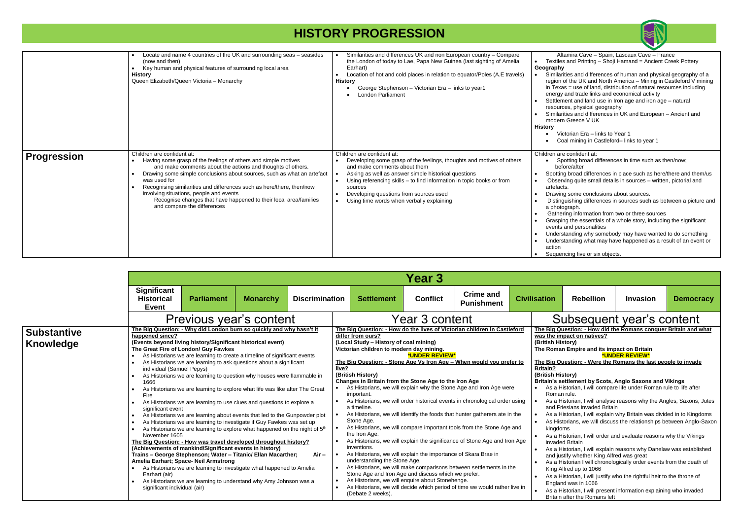Altamira Cave – Spain, Lascaux Cave – France les and Printing – Shoji Hamand = Ancient Creek Pottery **Geography**

arities and differences of human and physical geography of a n of the UK and North America – Mining in Castleford V mining  $x$ as = use of land, distribution of natural resources including av and trade links and economical activity

ement and land use in Iron age and iron age – natural urces, physical geography

arities and differences in UK and European – Ancient and ern Greece V UK

• Victorian Era – links to Year 1 • Coal mining in Castleford– links to year 1

are confident at:

Spotting broad differences in time such as then/now; efore/after

ing broad differences in place such as here/there and them/us erving quite small details in sources – written, pictorial and acts.

- ing some conclusions about sources.
- nguishing differences in sources such as between a picture and btograph.
- ering information from two or three sources
- ping the essentials of a whole story, including the significant .<br>ts and personalities

erstanding why somebody may have wanted to do something rstanding what may have happened as a result of an event or

encing five or six objects.

**Punishment Civilisation Rebellion Invasion Democracy** Ubsequent year's content **The Big Question: - How did the Romans conquer Britain and what mpact on natives? (British History) The Roman Empire and its impact on Britain \*UNDER REVIEW\* The Big Question: - Were the Romans the last people to invade (British History)** settlement by Scots, Anglo Saxons and Vikings Historian, I will compare life under Roman rule to life after an rule. Historian, I will analyse reasons why the Angles, Saxons, Jutes Friesians invaded Britain Historian, I will explain why Britain was divided in to Kingdoms istorians, we will discuss the relationships between Anglo-Saxon loms Historian, I will order and evaluate reasons why the Vikings ded Britain Historian, I will explain reasons why Danelaw was established ustify whether King Alfred was great Historian I will chronologically order events from the death of Alfred up to 1066 Historian, I will justify who the rightful heir to the throne of and was in 1066

> Historian, I will present information explaining who invaded n after the Romans left

|                    | Locate and name 4 countries of the UK and surrounding seas - seasides<br>(now and then)<br>Key human and physical features of surrounding local area<br><b>History</b><br>Queen Elizabeth/Queen Victoria - Monarchy                                                                                                                                                                                                                                                            | Similarities and differences UK and non European country - Compare<br>the London of today to Lae, Papa New Guinea (last sighting of Amelia<br>Earhart)<br>Location of hot and cold places in relation to equator/Poles (A.E travels)<br><b>History</b><br>George Stephenson - Victorian Era - links to year1<br>London Parliament                                      | Textile<br>Geograph<br>Simila<br>regior<br>in Tex<br>energ<br>Settle<br>resou<br>Simila<br>mode<br>History<br>$\vee$                           |
|--------------------|--------------------------------------------------------------------------------------------------------------------------------------------------------------------------------------------------------------------------------------------------------------------------------------------------------------------------------------------------------------------------------------------------------------------------------------------------------------------------------|------------------------------------------------------------------------------------------------------------------------------------------------------------------------------------------------------------------------------------------------------------------------------------------------------------------------------------------------------------------------|------------------------------------------------------------------------------------------------------------------------------------------------|
| <b>Progression</b> | Children are confident at:<br>Having some grasp of the feelings of others and simple motives<br>and make comments about the actions and thoughts of others.<br>Drawing some simple conclusions about sources, such as what an artefact<br>was used for<br>Recognising similarities and differences such as here/there, then/now<br>involving situations, people and events<br>Recognise changes that have happened to their local area/families<br>and compare the differences | Children are confident at:<br>Developing some grasp of the feelings, thoughts and motives of others<br>and make comments about them<br>Asking as well as answer simple historical questions<br>Using referencing skills – to find information in topic books or from<br>sources<br>Developing questions from sources used<br>Using time words when verbally explaining | Children a<br>.S<br>be<br>Spotti<br>Obse<br>artefa<br>Drawi<br>Distir<br>a pho<br>Gath<br>Grasp<br>event:<br>Under<br>Under<br>action<br>Seque |

|                                 |                                                                                                                                                                                                                                   |                                                                                                                                                                                                                                                                                                                                                                                                                                                                                                                                                                                                                                                                                                                                                                                                                                                                                                                                                                                                                                                                                                                                                                                                       |                 |                       |       |                                                                                                                                                                                                                                                                                                                                                                                                                                                                                                    | Year 3                |                                                                                                                                                                                                                                                                                                                                                                                                                                                                                                                                                                                                                                                                                               |  |                                                                                                                                                                                                                                                                                                      |  |
|---------------------------------|-----------------------------------------------------------------------------------------------------------------------------------------------------------------------------------------------------------------------------------|-------------------------------------------------------------------------------------------------------------------------------------------------------------------------------------------------------------------------------------------------------------------------------------------------------------------------------------------------------------------------------------------------------------------------------------------------------------------------------------------------------------------------------------------------------------------------------------------------------------------------------------------------------------------------------------------------------------------------------------------------------------------------------------------------------------------------------------------------------------------------------------------------------------------------------------------------------------------------------------------------------------------------------------------------------------------------------------------------------------------------------------------------------------------------------------------------------|-----------------|-----------------------|-------|----------------------------------------------------------------------------------------------------------------------------------------------------------------------------------------------------------------------------------------------------------------------------------------------------------------------------------------------------------------------------------------------------------------------------------------------------------------------------------------------------|-----------------------|-----------------------------------------------------------------------------------------------------------------------------------------------------------------------------------------------------------------------------------------------------------------------------------------------------------------------------------------------------------------------------------------------------------------------------------------------------------------------------------------------------------------------------------------------------------------------------------------------------------------------------------------------------------------------------------------------|--|------------------------------------------------------------------------------------------------------------------------------------------------------------------------------------------------------------------------------------------------------------------------------------------------------|--|
|                                 | <b>Significant</b><br><b>Historical</b><br><b>Event</b>                                                                                                                                                                           | <b>Parliament</b>                                                                                                                                                                                                                                                                                                                                                                                                                                                                                                                                                                                                                                                                                                                                                                                                                                                                                                                                                                                                                                                                                                                                                                                     | <b>Monarchy</b> | <b>Discrimination</b> |       | <b>Settlement</b>                                                                                                                                                                                                                                                                                                                                                                                                                                                                                  | <b>Conflict</b>       | <b>Crime and</b><br><b>Punishment</b>                                                                                                                                                                                                                                                                                                                                                                                                                                                                                                                                                                                                                                                         |  | <b>Civilisation</b>                                                                                                                                                                                                                                                                                  |  |
|                                 | Previous year's content                                                                                                                                                                                                           |                                                                                                                                                                                                                                                                                                                                                                                                                                                                                                                                                                                                                                                                                                                                                                                                                                                                                                                                                                                                                                                                                                                                                                                                       |                 |                       |       | Year 3 content                                                                                                                                                                                                                                                                                                                                                                                                                                                                                     |                       |                                                                                                                                                                                                                                                                                                                                                                                                                                                                                                                                                                                                                                                                                               |  |                                                                                                                                                                                                                                                                                                      |  |
| <b>Substantive</b><br>Knowledge | happened since?<br>$\bullet$<br>individual (Samuel Pepys)<br>1666<br>$\bullet$<br>Fire<br>$\bullet$<br>significant event<br>$\bullet$<br>$\bullet$<br>$\bullet$<br>November 1605<br>Earhart (air)<br>significant individual (air) | The Big Question: - Why did London burn so quickly and why hasn't it<br>(Events beyond living history/Significant historical event)<br>The Great Fire of London/ Guy Fawkes<br>As Historians we are learning to create a timeline of significant events<br>As Historians we are learning to ask questions about a significant<br>As Historians we are learning to question why houses were flammable in<br>As Historians we are learning to explore what life was like after The Great<br>As Historians we are learning to use clues and questions to explore a<br>As Historians we are learning about events that led to the Gunpowder plot<br>As Historians we are learning to investigate if Guy Fawkes was set up<br>As Historians we are learning to explore what happened on the night of 5 <sup>th</sup><br>The Big Question: - How was travel developed throughout history?<br>(Achievements of mankind/Significant events in history)<br>Trains - George Stephenson; Water - Titanic/ Ellan Macarther;<br>Amelia Earhart; Space- Neil Armstrong<br>As Historians we are learning to investigate what happened to Amelia<br>As Historians we are learning to understand why Amy Johnson was a |                 | $Air -$               | live? | differ from ours?<br>(Local Study - History of coal mining)<br>Victorian children to modern day mining.<br>(British History)<br>Changes in Britain from the Stone Age to the Iron Age<br>important.<br>a timeline.<br>Stone Age.<br>the Iron Age.<br>inventions.<br>As Historians, we will explain the importance of Skara Brae in<br>understanding the Stone Age.<br>Stone Age and Iron Age and discuss which we prefer.<br>As Historians, we will enquire about Stonehenge.<br>(Debate 2 weeks). | <b>*UNDER REVIEW*</b> | The Big Question: - How do the lives of Victorian children in Castleford<br>The Big Question: - Stone Age Vs Iron Age – When would you prefer to<br>As Historians, we will explain why the Stone Age and Iron Age were<br>As Historians, we will order historical events in chronological order using<br>As Historians, we will identify the foods that hunter gatherers ate in the<br>As Historians, we will compare important tools from the Stone Age and<br>As Historians, we will explain the significance of Stone Age and Iron Age<br>As Historians, we will make comparisons between settlements in the<br>As Historians, we will decide which period of time we would rather live in |  | The Big Q<br>was the ir<br>(British Hi<br><b>The Roma</b><br>The Big Q<br><b>Britain?</b><br>(British Hi<br><b>Britain's s</b><br>Asal<br>Roma<br>Asal<br>and F<br>As a F<br>As His<br>kingdo<br>Asal<br>invade<br>Asal<br>and ju<br>As a F<br>King $\mu$<br>Asal<br>Engla<br>Asal<br><b>Britair</b> |  |

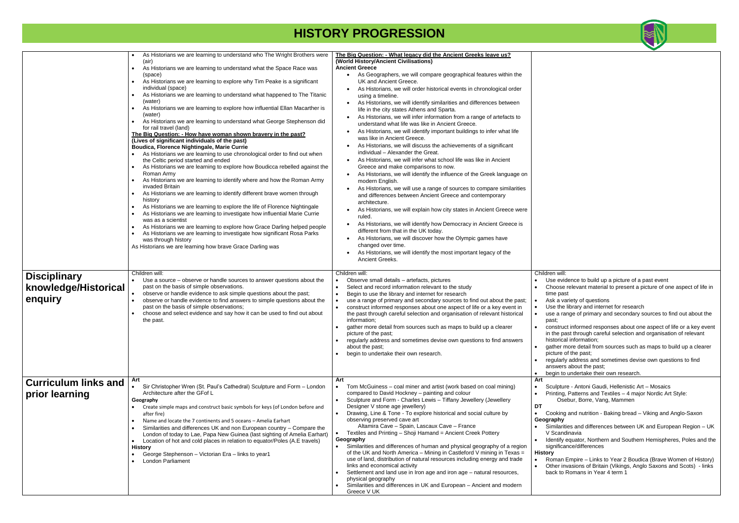ture - Antoni Gaudi, Hellenistic Art – Mosaics g, Patterns and Textiles – 4 major Nordic Art Style: Osebur, Borre, Vang, Mammen

ng and nutrition - Baking bread – Viking and Anglo-Saxon

•<br>Irities and differences between UK and European Region – UK ndinavia

y equator, Northern and Southern Hemispheres, Poles and the .<br>cance/differences

n Empire – Links to Year 2 Boudica (Brave Women of History) invasions of Britain (Vikings, Anglo Saxons and Scots) - links  $\alpha$  Romans in Year 4 term 1

|                                                        | As Historians we are learning to understand who The Wright Brothers were<br>(air)<br>As Historians we are learning to understand what the Space Race was<br>(space)<br>As Historians we are learning to explore why Tim Peake is a significant<br>individual (space)<br>As Historians we are learning to understand what happened to The Titanic<br>(water)<br>As Historians we are learning to explore how influential Ellan Macarther is<br>$\bullet$<br>(water)<br>As Historians we are learning to understand what George Stephenson did<br>for rail travel (land)<br>The Big Question: - How have woman shown bravery in the past?<br>(Lives of significant individuals of the past)<br>Boudica, Florence Nightingale, Marie Currie<br>As Historians we are learning to use chronological order to find out when<br>the Celtic period started and ended<br>As Historians we are learning to explore how Boudicca rebelled against the<br>Roman Army<br>As Historians we are learning to identify where and how the Roman Army<br>invaded Britain<br>As Historians we are learning to identify different brave women through<br>history<br>As Historians we are learning to explore the life of Florence Nightingale<br>As Historians we are learning to investigate how influential Marie Currie<br>was as a scientist<br>As Historians we are learning to explore how Grace Darling helped people<br>As Historians we are learning to investigate how significant Rosa Parks<br>was through history<br>As Historians we are learning how brave Grace Darling was | The Big Question: - What legacy did the Ancient Greeks leave us?<br>(World History/Ancient Civilisations)<br><b>Ancient Greece</b><br>As Geographers, we will compare geographical features within the<br>UK and Ancient Greece.<br>As Historians, we will order historical events in chronological order<br>using a timeline.<br>As Historians, we will identify similarities and differences between<br>$\bullet$<br>life in the city states Athens and Sparta.<br>As Historians, we will infer information from a range of artefacts to<br>understand what life was like in Ancient Greece.<br>As Historians, we will identify important buildings to infer what life<br>was like in Ancient Greece.<br>As Historians, we will discuss the achievements of a significant<br>individual - Alexander the Great.<br>As Historians, we will infer what school life was like in Ancient<br>Greece and make comparisons to now.<br>As Historians, we will identify the influence of the Greek language on<br>$\bullet$<br>modern English.<br>As Historians, we will use a range of sources to compare similarities<br>and differences between Ancient Greece and contemporary<br>architecture.<br>As Historians, we will explain how city states in Ancient Greece were<br>ruled.<br>As Historians, we will identify how Democracy in Ancient Greece is<br>different from that in the UK today.<br>As Historians, we will discover how the Olympic games have<br>$\bullet$<br>changed over time.<br>As Historians, we will identify the most important legacy of the<br>Ancient Greeks. |                                                                                                                                                                                 |
|--------------------------------------------------------|------------------------------------------------------------------------------------------------------------------------------------------------------------------------------------------------------------------------------------------------------------------------------------------------------------------------------------------------------------------------------------------------------------------------------------------------------------------------------------------------------------------------------------------------------------------------------------------------------------------------------------------------------------------------------------------------------------------------------------------------------------------------------------------------------------------------------------------------------------------------------------------------------------------------------------------------------------------------------------------------------------------------------------------------------------------------------------------------------------------------------------------------------------------------------------------------------------------------------------------------------------------------------------------------------------------------------------------------------------------------------------------------------------------------------------------------------------------------------------------------------------------------------------------------------------------------|--------------------------------------------------------------------------------------------------------------------------------------------------------------------------------------------------------------------------------------------------------------------------------------------------------------------------------------------------------------------------------------------------------------------------------------------------------------------------------------------------------------------------------------------------------------------------------------------------------------------------------------------------------------------------------------------------------------------------------------------------------------------------------------------------------------------------------------------------------------------------------------------------------------------------------------------------------------------------------------------------------------------------------------------------------------------------------------------------------------------------------------------------------------------------------------------------------------------------------------------------------------------------------------------------------------------------------------------------------------------------------------------------------------------------------------------------------------------------------------------------------------------------------------------------------------------------------------|---------------------------------------------------------------------------------------------------------------------------------------------------------------------------------|
| <b>Disciplinary</b><br>knowledge/Historical<br>enquiry | Children will:<br>Use a source - observe or handle sources to answer questions about the<br>past on the basis of simple observations.<br>observe or handle evidence to ask simple questions about the past;<br>observe or handle evidence to find answers to simple questions about the<br>past on the basis of simple observations;<br>choose and select evidence and say how it can be used to find out about<br>the past.                                                                                                                                                                                                                                                                                                                                                                                                                                                                                                                                                                                                                                                                                                                                                                                                                                                                                                                                                                                                                                                                                                                                           | Children will:<br>Observe small details - artefacts, pictures<br>Select and record information relevant to the study<br>$\bullet$<br>Begin to use the library and internet for research<br>$\bullet$<br>use a range of primary and secondary sources to find out about the past;<br>construct informed responses about one aspect of life or a key event in<br>the past through careful selection and organisation of relevant historical<br>information;<br>gather more detail from sources such as maps to build up a clearer<br>picture of the past;<br>regularly address and sometimes devise own questions to find answers<br>about the past;<br>begin to undertake their own research.                                                                                                                                                                                                                                                                                                                                                                                                                                                                                                                                                                                                                                                                                                                                                                                                                                                                                         | Children wil<br>Use ev<br>Choose<br>time pa<br>Ask a v<br>Use the<br>use a ra<br>past;<br>constru<br>in the p<br>historic<br>gather<br>picture<br>regular<br>answer<br>begin to |
| <b>Curriculum links and</b><br>prior learning          | Art<br>Sir Christopher Wren (St. Paul's Cathedral) Sculpture and Form - London<br>Architecture after the GFof L<br>Geography<br>Create simple maps and construct basic symbols for keys (of London before and<br>after fire)<br>Name and locate the 7 continents and 5 oceans - Amelia Earhart<br>Similarities and differences UK and non European country - Compare the<br>$\bullet$<br>London of today to Lae, Papa New Guinea (last sighting of Amelia Earhart)<br>Location of hot and cold places in relation to equator/Poles (A.E travels)<br>$\bullet$<br><b>History</b><br>George Stephenson - Victorian Era - links to year1<br><b>London Parliament</b>                                                                                                                                                                                                                                                                                                                                                                                                                                                                                                                                                                                                                                                                                                                                                                                                                                                                                                      | Art<br>Tom McGuiness – coal miner and artist (work based on coal mining)<br>compared to David Hockney - painting and colour<br>Sculpture and Form - Charles Lewis - Tiffany Jewellery (Jewellery<br>Designer V stone age jewellery)<br>Drawing, Line & Tone - To explore historical and social culture by<br>observing preserved cave art<br>Altamira Cave - Spain, Lascaux Cave - France<br>Textiles and Printing - Shoji Hamand = Ancient Creek Pottery<br>Geography<br>Similarities and differences of human and physical geography of a region<br>$\bullet$<br>of the UK and North America - Mining in Castleford V mining in Texas =<br>use of land, distribution of natural resources including energy and trade<br>links and economical activity<br>Settlement and land use in Iron age and iron age - natural resources,<br>physical geography<br>Similarities and differences in UK and European - Ancient and modern<br>Greece V UK                                                                                                                                                                                                                                                                                                                                                                                                                                                                                                                                                                                                                                        | Art<br>Sculptu<br>Printing<br>Os<br>DT<br>Cookin<br>Geography<br>Similari<br>V Scan<br>Identify<br>significa<br><b>History</b><br>Roman<br>Other in<br>back to                  |



vidence to build up a picture of a past event

se relevant material to present a picture of one aspect of life in ast

variety of questions

e library and internet for research

range of primary and secondary sources to find out about the

uct informed responses about one aspect of life or a key event past through careful selection and organisation of relevant ical information:

r more detail from sources such as maps to build up a clearer bithe past;

arly address and sometimes devise own questions to find  $\overline{\mathbf{r}}$  about the past;

to undertake their own research.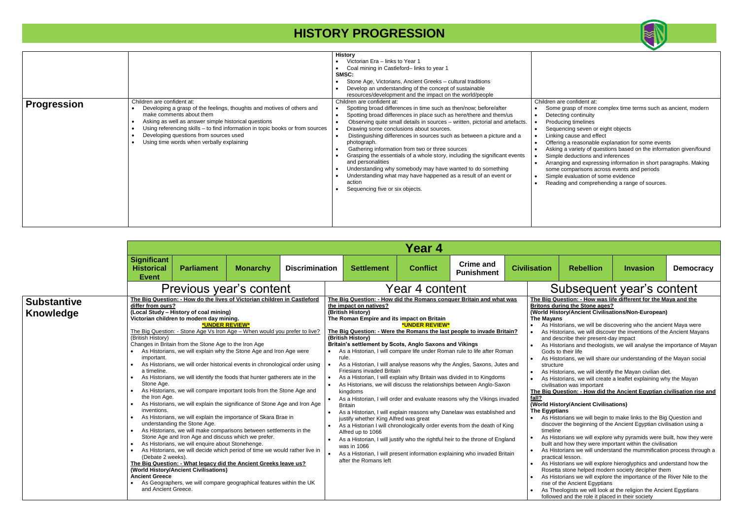|                                 |                                                                                                                                                                                                                                                                      |                                                                                                                                                                                                                                                                                                                                                                                                                                                                                                                                                                                                                                                                                                                                                                                                                                                                                                                                                                                                                                                                                                                                                                                                                                                                       |                 |                       |                        |                                                                                                                                                                                                                                                                                                                                                     | Year 4          |                                                                                                                                                                                                                                                                                                                                                                                                                                                                                                                                                                                                                                                                                                                                                                                                                                                                 |                                                                                                                                                                                                                                                                                                                                                                                                                                                                      |
|---------------------------------|----------------------------------------------------------------------------------------------------------------------------------------------------------------------------------------------------------------------------------------------------------------------|-----------------------------------------------------------------------------------------------------------------------------------------------------------------------------------------------------------------------------------------------------------------------------------------------------------------------------------------------------------------------------------------------------------------------------------------------------------------------------------------------------------------------------------------------------------------------------------------------------------------------------------------------------------------------------------------------------------------------------------------------------------------------------------------------------------------------------------------------------------------------------------------------------------------------------------------------------------------------------------------------------------------------------------------------------------------------------------------------------------------------------------------------------------------------------------------------------------------------------------------------------------------------|-----------------|-----------------------|------------------------|-----------------------------------------------------------------------------------------------------------------------------------------------------------------------------------------------------------------------------------------------------------------------------------------------------------------------------------------------------|-----------------|-----------------------------------------------------------------------------------------------------------------------------------------------------------------------------------------------------------------------------------------------------------------------------------------------------------------------------------------------------------------------------------------------------------------------------------------------------------------------------------------------------------------------------------------------------------------------------------------------------------------------------------------------------------------------------------------------------------------------------------------------------------------------------------------------------------------------------------------------------------------|----------------------------------------------------------------------------------------------------------------------------------------------------------------------------------------------------------------------------------------------------------------------------------------------------------------------------------------------------------------------------------------------------------------------------------------------------------------------|
|                                 | <b>Significant</b><br><b>Historical</b><br><b>Event</b>                                                                                                                                                                                                              | <b>Parliament</b>                                                                                                                                                                                                                                                                                                                                                                                                                                                                                                                                                                                                                                                                                                                                                                                                                                                                                                                                                                                                                                                                                                                                                                                                                                                     | <b>Monarchy</b> | <b>Discrimination</b> |                        | <b>Settlement</b>                                                                                                                                                                                                                                                                                                                                   | <b>Conflict</b> | <b>Crime and</b><br><b>Punishment</b>                                                                                                                                                                                                                                                                                                                                                                                                                                                                                                                                                                                                                                                                                                                                                                                                                           | <b>Civilisation</b>                                                                                                                                                                                                                                                                                                                                                                                                                                                  |
|                                 |                                                                                                                                                                                                                                                                      | Previous year's content                                                                                                                                                                                                                                                                                                                                                                                                                                                                                                                                                                                                                                                                                                                                                                                                                                                                                                                                                                                                                                                                                                                                                                                                                                               |                 |                       |                        |                                                                                                                                                                                                                                                                                                                                                     | Year 4 content  |                                                                                                                                                                                                                                                                                                                                                                                                                                                                                                                                                                                                                                                                                                                                                                                                                                                                 | $\mathsf{S}$                                                                                                                                                                                                                                                                                                                                                                                                                                                         |
| <b>Substantive</b><br>Knowledge | differ from ours?<br>(British History)<br>important.<br>a timeline.<br>$\bullet$<br>Stone Age.<br>$\bullet$<br>the Iron Age.<br>$\bullet$<br>inventions.<br>$\bullet$<br>$\bullet$<br>$\bullet$<br>(Debate 2 weeks).<br><b>Ancient Greece</b><br>and Ancient Greece. | The Big Question: - How do the lives of Victorian children in Castleford<br>(Local Study - History of coal mining)<br>Victorian children to modern day mining.<br>*UNDER REVIEW*<br>The Big Question: - Stone Age Vs Iron Age - When would you prefer to live?<br>Changes in Britain from the Stone Age to the Iron Age<br>As Historians, we will explain why the Stone Age and Iron Age were<br>As Historians, we will order historical events in chronological order using<br>As Historians, we will identify the foods that hunter gatherers ate in the<br>As Historians, we will compare important tools from the Stone Age and<br>As Historians, we will explain the significance of Stone Age and Iron Age<br>As Historians, we will explain the importance of Skara Brae in<br>understanding the Stone Age.<br>As Historians, we will make comparisons between settlements in the<br>Stone Age and Iron Age and discuss which we prefer.<br>As Historians, we will enquire about Stonehenge.<br>As Historians, we will decide which period of time we would rather live in<br>The Big Question: - What legacy did the Ancient Greeks leave us?<br>(World History/Ancient Civilisations)<br>As Geographers, we will compare geographical features within the UK |                 |                       | $\bullet$<br>$\bullet$ | the impact on natives?<br>(British History)<br>The Roman Empire and its impact on Britain<br>(British History)<br>Britain's settlement by Scots, Anglo Saxons and Vikings<br>rule.<br>Friesians invaded Britain<br>kingdoms<br><b>Britain</b><br>justify whether King Alfred was great<br>Alfred up to 1066<br>was in 1066<br>after the Romans left | *UNDER REVIEW*  | <u>The Big Question: - How did the Romans conquer Britain and what was</u><br>The Big Question: - Were the Romans the last people to invade Britain?<br>As a Historian, I will compare life under Roman rule to life after Roman<br>As a Historian, I will analyse reasons why the Angles, Saxons, Jutes and<br>As a Historian, I will explain why Britain was divided in to Kingdoms<br>As Historians, we will discuss the relationships between Anglo-Saxon<br>As a Historian, I will order and evaluate reasons why the Vikings invaded<br>As a Historian, I will explain reasons why Danelaw was established and<br>As a Historian I will chronologically order events from the death of King<br>As a Historian, I will justify who the rightful heir to the throne of England<br>As a Historian, I will present information explaining who invaded Britain | The Big Que<br><b>Britons duri</b><br>(World Histo<br><b>The Mayans</b><br>As Histo<br>As Histo<br>$\bullet$<br>and des<br>As Histo<br>Gods to<br>As Histo<br>structure<br>As Histo<br>As Histo<br>civilisatio<br>The Big Que<br>fall?<br>(World Histo<br><b>The Egyptia</b><br>As Histo<br>discover<br>timeline<br>As Histo<br>built and<br>As Histo<br>$\bullet$<br>practical<br>As Histo<br>$\bullet$<br>Rosetta<br>As Histo<br>rise of th<br>As Theo<br>followed |



- re confident at:
- grasp of more complex time terms such as ancient, modern ting continuity
- cing timelines
- ncing seven or eight objects
- **cause and effect**
- ng a reasonable explanation for some events
- a variety of questions based on the information given/found deductions and inferences
- jing and expressing information in short paragraphs. Making comparisons across events and periods
- evaluation of some evidence
- ng and comprehending a range of sources.



- al lesson. torians we will explore hieroglyphics and understand how the
- a stone helped modern society decipher them torians we will explore the importance of the River Nile to the
- the Ancient Egyptians eologists we will look at the religion the Ancient Egyptians ed and the role it placed in their society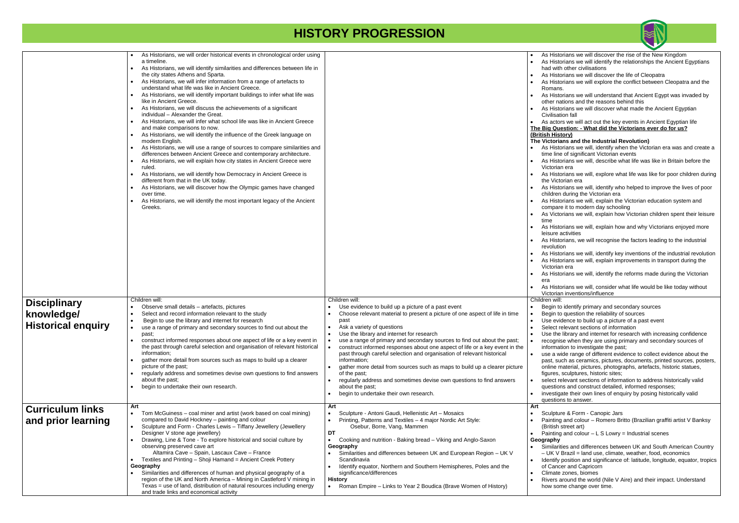|                           | As Historians, we will order historical events in chronological order using               |                                                                                          | As Histo<br>$\bullet$  |
|---------------------------|-------------------------------------------------------------------------------------------|------------------------------------------------------------------------------------------|------------------------|
|                           | a timeline.                                                                               |                                                                                          | As Histo               |
|                           | As Historians, we will identify similarities and differences between life in<br>$\bullet$ |                                                                                          | had with               |
|                           | the city states Athens and Sparta.                                                        |                                                                                          | As Histo               |
|                           | As Historians, we will infer information from a range of artefacts to                     |                                                                                          |                        |
|                           |                                                                                           |                                                                                          | As Histo<br>$\bullet$  |
|                           | understand what life was like in Ancient Greece.                                          |                                                                                          | Romans                 |
|                           | As Historians, we will identify important buildings to infer what life was                |                                                                                          | As Histo               |
|                           | like in Ancient Greece.                                                                   |                                                                                          | other na               |
|                           | As Historians, we will discuss the achievements of a significant                          |                                                                                          | As Histo<br>$\bullet$  |
|                           | individual - Alexander the Great.                                                         |                                                                                          | Civilisati             |
|                           | As Historians, we will infer what school life was like in Ancient Greece                  |                                                                                          | As actor<br>$\bullet$  |
|                           |                                                                                           |                                                                                          |                        |
|                           | and make comparisons to now.                                                              |                                                                                          | The Big Que            |
|                           | As Historians, we will identify the influence of the Greek language on                    |                                                                                          | (British Hist          |
|                           | modern English.                                                                           |                                                                                          | <b>The Victoria</b>    |
|                           | As Historians, we will use a range of sources to compare similarities and                 |                                                                                          | As Histo               |
|                           | differences between Ancient Greece and contemporary architecture.                         |                                                                                          | time line              |
|                           | As Historians, we will explain how city states in Ancient Greece were                     |                                                                                          | As Histo               |
|                           | ruled.                                                                                    |                                                                                          | Victoriar              |
|                           |                                                                                           |                                                                                          |                        |
|                           | As Historians, we will identify how Democracy in Ancient Greece is<br>$\bullet$           |                                                                                          | As Histo               |
|                           | different from that in the UK today.                                                      |                                                                                          | the Victo              |
|                           | As Historians, we will discover how the Olympic games have changed                        |                                                                                          | As Histo<br>$\bullet$  |
|                           | over time.                                                                                |                                                                                          | children               |
|                           | As Historians, we will identify the most important legacy of the Ancient                  |                                                                                          | As Histo               |
|                           | Greeks.                                                                                   |                                                                                          | compare                |
|                           |                                                                                           |                                                                                          | As Victo<br>$\bullet$  |
|                           |                                                                                           |                                                                                          | time                   |
|                           |                                                                                           |                                                                                          |                        |
|                           |                                                                                           |                                                                                          | As Histo<br>$\bullet$  |
|                           |                                                                                           |                                                                                          | leisure a              |
|                           |                                                                                           |                                                                                          | As Histo               |
|                           |                                                                                           |                                                                                          | revolutio              |
|                           |                                                                                           |                                                                                          | As Histo<br>$\bullet$  |
|                           |                                                                                           |                                                                                          | As Histo<br>$\bullet$  |
|                           |                                                                                           |                                                                                          | Victoriar              |
|                           |                                                                                           |                                                                                          |                        |
|                           |                                                                                           |                                                                                          | As Histo<br>$\bullet$  |
|                           |                                                                                           |                                                                                          | era                    |
|                           |                                                                                           |                                                                                          | As Histo               |
|                           |                                                                                           |                                                                                          | Victoriar              |
|                           | Children will:                                                                            | Children will:                                                                           | Children will:         |
| <b>Disciplinary</b>       | Observe small details - artefacts, pictures                                               | Use evidence to build up a picture of a past event                                       | Begin to               |
|                           |                                                                                           |                                                                                          |                        |
| knowledge/                | Select and record information relevant to the study                                       | Choose relevant material to present a picture of one aspect of life in time<br>$\bullet$ | Begin to               |
|                           | Begin to use the library and internet for research<br>$\bullet$                           | past                                                                                     | Use evid<br>$\bullet$  |
| <b>Historical enguiry</b> | use a range of primary and secondary sources to find out about the<br>$\bullet$           | Ask a variety of questions<br>$\bullet$                                                  | Select re<br>$\bullet$ |
|                           | past;                                                                                     | Use the library and internet for research<br>$\bullet$                                   | Use the<br>$\bullet$   |
|                           | construct informed responses about one aspect of life or a key event in                   | use a range of primary and secondary sources to find out about the past;<br>$\bullet$    | recognis<br>$\bullet$  |
|                           | the past through careful selection and organisation of relevant historical                | construct informed responses about one aspect of life or a key event in the<br>$\bullet$ | informat               |
|                           | information;                                                                              | past through careful selection and organisation of relevant historical                   | use a wi<br>$\bullet$  |
|                           | gather more detail from sources such as maps to build up a clearer                        | information:                                                                             |                        |
|                           | picture of the past:                                                                      | gather more detail from sources such as maps to build up a clearer picture               | past, su<br>online m   |
|                           |                                                                                           |                                                                                          |                        |
|                           | regularly address and sometimes devise own questions to find answers                      | of the past;                                                                             | figures,               |
|                           | about the past;                                                                           | regularly address and sometimes devise own questions to find answers<br>$\bullet$        | select re              |
|                           | begin to undertake their own research.                                                    | about the past;                                                                          | questior               |
|                           |                                                                                           | begin to undertake their own research.<br>$\bullet$                                      | investiga<br>$\bullet$ |
|                           |                                                                                           |                                                                                          | question               |
|                           | Art                                                                                       | Art                                                                                      | Art                    |
| <b>Curriculum links</b>   | Tom McGuiness – coal miner and artist (work based on coal mining)                         | Sculpture - Antoni Gaudi, Hellenistic Art - Mosaics<br>$\bullet$                         | Sculptur               |
| and prior learning        | compared to David Hockney - painting and colour                                           | Printing, Patterns and Textiles - 4 major Nordic Art Style:<br>$\bullet$                 | Painting               |
|                           |                                                                                           |                                                                                          |                        |
|                           | Sculpture and Form - Charles Lewis - Tiffany Jewellery (Jewellery                         | Osebur, Borre, Vang, Mammen                                                              | (British s             |
|                           | Designer V stone age jewellery)                                                           | DT                                                                                       | Painting               |
|                           | Drawing, Line & Tone - To explore historical and social culture by                        | Cooking and nutrition - Baking bread - Viking and Anglo-Saxon<br>$\bullet$               | Geography              |
|                           | observing preserved cave art                                                              | Geography                                                                                | Similarit              |
|                           | Altamira Cave - Spain, Lascaux Cave - France                                              | Similarities and differences between UK and European Region - UK V                       | $- UK V$               |
|                           | Textiles and Printing - Shoji Hamand = Ancient Creek Pottery                              | Scandinavia                                                                              | Identify<br>$\bullet$  |
|                           | Geography                                                                                 | Identify equator, Northern and Southern Hemispheres, Poles and the                       | of Canc                |
|                           | Similarities and differences of human and physical geography of a                         | significance/differences                                                                 | Climate                |
|                           | region of the UK and North America - Mining in Castleford V mining in                     | History                                                                                  |                        |
|                           |                                                                                           |                                                                                          | Rivers a<br>$\bullet$  |
|                           | Texas = use of land, distribution of natural resources including energy                   | Roman Empire - Links to Year 2 Boudica (Brave Women of History)<br>$\bullet$             | how sor                |
|                           | and trade links and economical activity                                                   |                                                                                          |                        |



- storians we will discover the rise of the New Kingdom storians we will identify the relationships the Ancient Egyptians *ith other civilisations*
- storians we will discover the life of Cleopatra
- storians we will explore the conflict between Cleopatra and the ins.
- storians we will understand that Ancient Egypt was invaded by nations and the reasons behind this
- storians we will discover what made the Ancient Egyptian ation fall
- tors we will act out the key events in Ancient Egyptian life **The Big Question: - What did the Victorians ever do for us? (British History)**
- **Trians and the Industrial Revolution)**
- storians we will, identify when the Victorian era was and create a ine of significant Victorian events
- storians we will, describe what life was like in Britain before the ian era
- storians we will, explore what life was like for poor children during ctorian era
- storians we will, identify who helped to improve the lives of poor en during the Victorian era
- storians we will, explain the Victorian education system and are it to modern day schooling
- etorians we will, explain how Victorian children spent their leisure
- storians we will, explain how and why Victorians enjoyed more activities
- storians, we will recognise the factors leading to the industrial ution
- storians we will, identify key inventions of the industrial revolution storians we will, explain improvements in transport during the ian era
- storians we will, identify the reforms made during the Victorian
- storians we will, consider what life would be like today without ian inventions/influence
- 
- to identify primary and secondary sources
- to question the reliability of sources
- vidence to build up a picture of a past event
- t relevant sections of information
- he library and internet for research with increasing confidence nise when they are using primary and secondary sources of information to investigate the past;
- wide range of different evidence to collect evidence about the such as ceramics, pictures, documents, printed sources, posters, material, pictures, photographs, artefacts, historic statues, s, sculptures, historic sites;
- trelevant sections of information to address historically valid ions and construct detailed, informed responses;
- igate their own lines of enquiry by posing historically valid ions to answer.
- ture & Form Canopic Jars
- ng and colour Romero Britto (Brazilian graffiti artist V Banksy h street art)
- $nq$  and colour L S Lowry = Industrial scenes
- 
- estimatives and differences between UK and South American Country V Brazil = land use, climate, weather, food, economics
- fy position and significance of: latitude, longitude, equator, tropics ncer and Capricorn
- te zones, biomes
- around the world (Nile V Aire) and their impact. Understand ome change over time.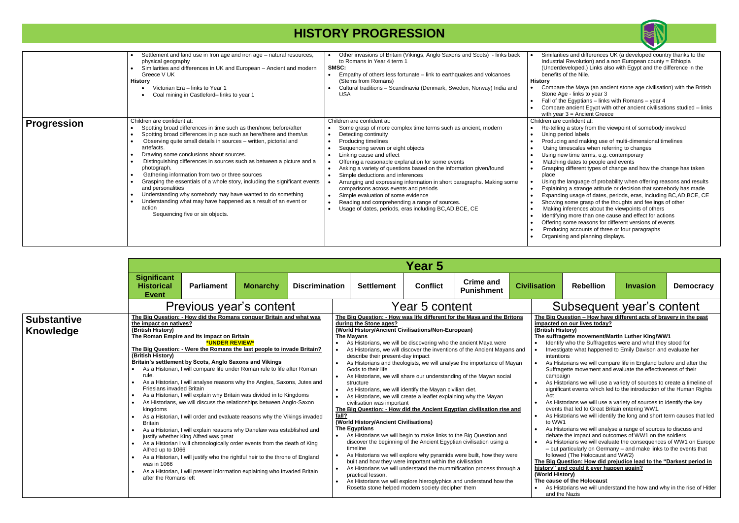|                    | Settlement and land use in Iron age and iron age - natural resources,<br>$\bullet$<br>physical geography<br>Similarities and differences in UK and European - Ancient and modern<br>Greece V UK<br>History<br>Victorian Era - links to Year 1<br>Coal mining in Castleford- links to year 1                                                                                                                                                                                                                                                                                                                                                                                                                                                               | Other invasions of Britain (Vikings, Anglo Saxons and Scots) - links back<br>to Romans in Year 4 term 1<br>SMSC:<br>Empathy of others less fortunate – link to earthquakes and volcanoes<br>(Stems from Romans)<br>Cultural traditions - Scandinavia (Denmark, Sweden, Norway) India and<br><b>USA</b>                                                                                                                                                                                                                                                                                                                                         | Similari<br>Industri<br>(Under<br>benefits<br><b>History</b><br>Compa<br>Stone /<br>Fall of t<br>Compa<br>with yea                                                                                  |
|--------------------|-----------------------------------------------------------------------------------------------------------------------------------------------------------------------------------------------------------------------------------------------------------------------------------------------------------------------------------------------------------------------------------------------------------------------------------------------------------------------------------------------------------------------------------------------------------------------------------------------------------------------------------------------------------------------------------------------------------------------------------------------------------|------------------------------------------------------------------------------------------------------------------------------------------------------------------------------------------------------------------------------------------------------------------------------------------------------------------------------------------------------------------------------------------------------------------------------------------------------------------------------------------------------------------------------------------------------------------------------------------------------------------------------------------------|-----------------------------------------------------------------------------------------------------------------------------------------------------------------------------------------------------|
| <b>Progression</b> | Children are confident at:<br>Spotting broad differences in time such as then/now; before/after<br>Spotting broad differences in place such as here/there and them/us<br>$\bullet$<br>Observing quite small details in sources – written, pictorial and<br>$\bullet$<br>artefacts.<br>Drawing some conclusions about sources.<br>Distinguishing differences in sources such as between a picture and a<br>photograph.<br>Gathering information from two or three sources<br>Grasping the essentials of a whole story, including the significant events<br>and personalities<br>Understanding why somebody may have wanted to do something<br>Understanding what may have happened as a result of an event or<br>action<br>Sequencing five or six objects. | Children are confident at:<br>Some grasp of more complex time terms such as ancient, modern<br>Detecting continuity<br>Producing timelines<br>Sequencing seven or eight objects<br>Linking cause and effect<br>Offering a reasonable explanation for some events<br>Asking a variety of questions based on the information given/found<br>Simple deductions and inferences<br>Arranging and expressing information in short paragraphs. Making some<br>comparisons across events and periods<br>Simple evaluation of some evidence<br>Reading and comprehending a range of sources.<br>Usage of dates, periods, eras including BC, AD, BCE, CE | Children are<br>Re-telli<br>Using p<br>Produc<br>Using 1<br>Using r<br>Matchi<br>Graspir<br>place<br>Using tl<br>Explain<br>Expand<br>Showin<br>Making<br>Identify<br>Offerino<br>Produc<br>Organis |

#### **The Big Question – How have different acts of bravery in the past l** on our lives today?

|                                 | <b>Year 5</b>                                                                                                                                                                                                         |                                                                                                                                                                                                                                                                                                                                                                                                                                                                                                                                                                                                                                                                                                                                                                                                                                                                                                                                                                                                                                |                 |                                              |                                                                                                                                                                                                                                                                                                                                                                                                                                                                                                                                                                                                                                                                                                                                                                                                                                                                                                                                                                                                                                                                                                                                                                                                                                                                                                  |                 |                                                                     |                                                                                 |                                                                                                                                                                                                                                                                                                                                                                                                                                                                                                                                                                                                                                                                                                                                                                                                                                                                                                                                                                                                                                                                                                                                                                                                                                                                                                                                |                 |                  |
|---------------------------------|-----------------------------------------------------------------------------------------------------------------------------------------------------------------------------------------------------------------------|--------------------------------------------------------------------------------------------------------------------------------------------------------------------------------------------------------------------------------------------------------------------------------------------------------------------------------------------------------------------------------------------------------------------------------------------------------------------------------------------------------------------------------------------------------------------------------------------------------------------------------------------------------------------------------------------------------------------------------------------------------------------------------------------------------------------------------------------------------------------------------------------------------------------------------------------------------------------------------------------------------------------------------|-----------------|----------------------------------------------|--------------------------------------------------------------------------------------------------------------------------------------------------------------------------------------------------------------------------------------------------------------------------------------------------------------------------------------------------------------------------------------------------------------------------------------------------------------------------------------------------------------------------------------------------------------------------------------------------------------------------------------------------------------------------------------------------------------------------------------------------------------------------------------------------------------------------------------------------------------------------------------------------------------------------------------------------------------------------------------------------------------------------------------------------------------------------------------------------------------------------------------------------------------------------------------------------------------------------------------------------------------------------------------------------|-----------------|---------------------------------------------------------------------|---------------------------------------------------------------------------------|--------------------------------------------------------------------------------------------------------------------------------------------------------------------------------------------------------------------------------------------------------------------------------------------------------------------------------------------------------------------------------------------------------------------------------------------------------------------------------------------------------------------------------------------------------------------------------------------------------------------------------------------------------------------------------------------------------------------------------------------------------------------------------------------------------------------------------------------------------------------------------------------------------------------------------------------------------------------------------------------------------------------------------------------------------------------------------------------------------------------------------------------------------------------------------------------------------------------------------------------------------------------------------------------------------------------------------|-----------------|------------------|
|                                 | <b>Significant</b><br><b>Historical</b><br><b>Event</b>                                                                                                                                                               | <b>Parliament</b>                                                                                                                                                                                                                                                                                                                                                                                                                                                                                                                                                                                                                                                                                                                                                                                                                                                                                                                                                                                                              | <b>Monarchy</b> | <b>Discrimination</b>                        | <b>Settlement</b>                                                                                                                                                                                                                                                                                                                                                                                                                                                                                                                                                                                                                                                                                                                                                                                                                                                                                                                                                                                                                                                                                                                                                                                                                                                                                | <b>Conflict</b> | <b>Crime and</b><br><b>Punishment</b>                               | <b>Civilisation</b>                                                             | <b>Rebellion</b>                                                                                                                                                                                                                                                                                                                                                                                                                                                                                                                                                                                                                                                                                                                                                                                                                                                                                                                                                                                                                                                                                                                                                                                                                                                                                                               | <b>Invasion</b> | <b>Democracy</b> |
|                                 |                                                                                                                                                                                                                       | Previous year's content                                                                                                                                                                                                                                                                                                                                                                                                                                                                                                                                                                                                                                                                                                                                                                                                                                                                                                                                                                                                        |                 |                                              |                                                                                                                                                                                                                                                                                                                                                                                                                                                                                                                                                                                                                                                                                                                                                                                                                                                                                                                                                                                                                                                                                                                                                                                                                                                                                                  | Year 5 content  |                                                                     |                                                                                 | Subsequent year's content                                                                                                                                                                                                                                                                                                                                                                                                                                                                                                                                                                                                                                                                                                                                                                                                                                                                                                                                                                                                                                                                                                                                                                                                                                                                                                      |                 |                  |
| <b>Substantive</b><br>Knowledge | the impact on natives?<br>(British History)<br>(British History)<br>rule.<br><b>Friesians invaded Britain</b><br>kingdoms<br><b>Britain</b><br>$\bullet$<br>Alfred up to 1066<br>was in 1066<br>after the Romans left | The Big Question: - How did the Romans conquer Britain and what was<br>The Roman Empire and its impact on Britain<br>*UNDER REVIEW*<br>The Big Question: - Were the Romans the last people to invade Britain?<br>Britain's settlement by Scots, Anglo Saxons and Vikings<br>• As a Historian, I will compare life under Roman rule to life after Roman<br>As a Historian, I will analyse reasons why the Angles, Saxons, Jutes and<br>As a Historian, I will explain why Britain was divided in to Kingdoms<br>As Historians, we will discuss the relationships between Anglo-Saxon<br>As a Historian, I will order and evaluate reasons why the Vikings invaded<br>As a Historian, I will explain reasons why Danelaw was established and<br>justify whether King Alfred was great<br>As a Historian I will chronologically order events from the death of King<br>As a Historian, I will justify who the rightful heir to the throne of England<br>As a Historian, I will present information explaining who invaded Britain |                 | $\bullet$<br>fall?<br>$\bullet$<br>$\bullet$ | The Big Question: - How was life different for the Maya and the Britons<br>during the Stone ages?<br>(World History/Ancient Civilisations/Non-European)<br>The Mayans<br>As Historians, we will be discovering who the ancient Maya were<br>As Historians, we will discover the inventions of the Ancient Mayans and<br>describe their present-day impact<br>As Historians and theologists, we will analyse the importance of Mayan<br>Gods to their life<br>• As Historians, we will share our understanding of the Mayan social<br>structure<br>As Historians, we will identify the Mayan civilian diet.<br>As Historians, we will create a leaflet explaining why the Mayan<br>civilisation was important<br>The Big Question: - How did the Ancient Egyptian civilisation rise and<br>(World History/Ancient Civilisations)<br>The Egyptians<br>• As Historians we will begin to make links to the Big Question and<br>timeline<br>As Historians we will explore why pyramids were built, how they were<br>built and how they were important within the civilisation<br>As Historians we will understand the mummification process through a<br>practical lesson.<br>As Historians we will explore hieroglyphics and understand how the<br>Rosetta stone helped modern society decipher them |                 | discover the beginning of the Ancient Egyptian civilisation using a | (British History)<br>intentions<br>campaign<br>Act<br>to WW1<br>(World History) | The Big Question - How have different acts of bravery in the past<br>impacted on our lives today?<br>The suffragette movement/Martin Luther King/WW1<br>Identify who the Suffragettes were and what they stood for<br>Investigate what happened to Emily Davison and evaluate her<br>As Historians we will compare life in England before and after the<br>Suffragette movement and evaluate the effectiveness of their<br>As Historians we will use a variety of sources to create a timeline of<br>significant events which led to the introduction of the Human Rights<br>As Historians we will use a variety of sources to identify the key<br>events that led to Great Britain entering WW1.<br>As Historians we will identify the long and short term causes that led<br>As Historians we will analyse a range of sources to discuss and<br>debate the impact and outcomes of WW1 on the soldiers<br>As Historians we will evaluate the consequences of WW1 on Europe<br>- but particularly on Germany - and make links to the events that<br>followed (The Holocaust and WW2)<br>The Big Question: How did prejudice lead to the "Darkest period in<br>history" and could it ever happen again?<br>The cause of the Holocaust<br>As Historians we will understand the how and why in the rise of Hitle<br>and the Nazis |                 |                  |



ities and differences UK (a developed country thanks to the ial Revolution) and a non European county = Ethiopia developed.) Links also with Egypt and the difference in the s of the Nile.

- are the Maya (an ancient stone age civilisation) with the British Age - links to year 3
- the Egyptians links with Romans year 4
- are ancient Egypt with other ancient civilisations studied links ar 3 = Ancient Greece
- e confident at:
- ing a story from the viewpoint of somebody involved period labels
- eing and making use of multi-dimensional timelines
- timescales when referring to changes
- hew time terms, e.g. contemporary
- ing dates to people and events
- ng different types of change and how the change has taken
- the language of probability when offering reasons and results ing a strange attitude or decision that somebody has made ding usage of dates, periods, eras, including BC,AD,BCE, CE a some grasp of the thoughts and feelings of other g inferences about the viewpoints of others
- ing more than one cause and effect for actions
- g some reasons for different versions of events
- cing accounts of three or four paragraphs
- sing and planning displays.



### Subsequent year's content

#### **(British History)**

#### **The suffragette movement/Martin Luther King/WW1**

- ify who the Suffragettes were and what they stood for tigate what happened to Emily Davison and evaluate her itions
- istorians we will compare life in England before and after the agette movement and evaluate the effectiveness of their paign
- istorians we will use a variety of sources to create a timeline of icant events which led to the introduction of the Human Rights
- istorians we will use a variety of sources to identify the key ts that led to Great Britain entering WW1.
- istorians we will identify the long and short term causes that led to WW1
- istorians we will analyse a range of sources to discuss and te the impact and outcomes of WW1 on the soldiers
- istorians we will evaluate the consequences of WW1 on Europe t particularly on Germany – and make links to the events that ved (The Holocaust and WW2)

#### **The Big Question: How did prejudice lead to the "Darkest period in history" and could it ever happen again?**

#### **(istory)**

#### **The cause of the Holocaust**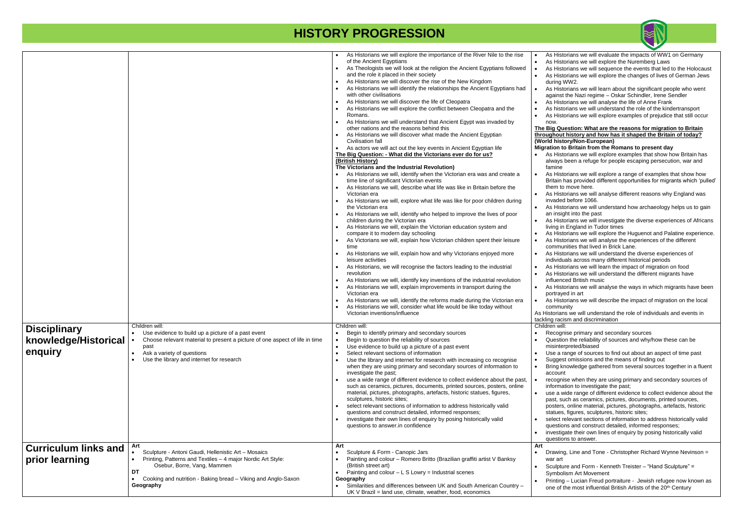#### **The Big Question: What are the reasons for migration to Britain but history and how has it shaped the Britain of today? (istory/Non-European)**

- **n** to Britain from the Romans to present day
- Historians we will explore examples that show how Britain has ays been a refuge for people escaping persecution, war and ine
- Historians we will explore a range of examples that show how in has provided different opportunities for migrants which 'pulled' to move here.
- listorians we will analyse different reasons why England was ded before 1066.
- listorians we will understand how archaeology helps us to gain nsight into the past
- listorians we will investigate the diverse experiences of Africans I in England in Tudor times
- **Historians we will explore the Huguenot and Palatine experience.** Historians we will analyse the experiences of the different munities that lived in Brick Lane.
- Historians we will understand the diverse experiences of iduals across many different historical periods
- Historians we will learn the impact of migration on food Historians we will understand the different migrants have enced British music
- Historians we will analyse the ways in which migrants have been raved in art
- listorians we will describe the impact of migration on the local munity
- ians we will understand the role of individuals and events in racism and discrimination
- will:
- banise primary and secondary sources
- stion the reliability of sources and why/how these can be nterpreted/biased
- a range of sources to find out about an aspect of time past gest omissions and the means of finding out
- knowledge gathered from several sources together in a fluent punt
- equise when they are using primary and secondary sources of imation to investigate the past;
- a wide range of different evidence to collect evidence about the such as ceramics, pictures, documents, printed sources, ters, online material, pictures, photographs, artefacts, historic ues, figures, sculptures, historic sites;
- et relevant sections of information to address historically valid stions and construct detailed, informed responses; tigate their own lines of enquiry by posing historically valid
- stions to answer.
- ving, Line and Tone Christopher Richard Wynne Nevinson = art
- lpture and Form Kenneth Treister "Hand Sculpture" = bolism Art Movement
- ting Lucian Freud portraiture Jewish refugee now known as one of the most influential British Artists of the 20<sup>th</sup> Century

|                                                        |                                                                                                                                                                                                                                                                        | As Historians we will explore the importance of the River Nile to the rise<br>of the Ancient Egyptians<br>As Theologists we will look at the religion the Ancient Egyptians followed<br>and the role it placed in their society<br>As Historians we will discover the rise of the New Kingdom<br>As Historians we will identify the relationships the Ancient Egyptians had<br>with other civilisations<br>As Historians we will discover the life of Cleopatra<br>As Historians we will explore the conflict between Cleopatra and the<br>Romans.<br>As Historians we will understand that Ancient Egypt was invaded by                                                                                                                                                                                                                                                                                                                                                                          | As H<br>As H<br>As H<br>As H<br>durin<br>As H<br>agair<br>As H<br>As hi<br>As H                                                                                       |
|--------------------------------------------------------|------------------------------------------------------------------------------------------------------------------------------------------------------------------------------------------------------------------------------------------------------------------------|---------------------------------------------------------------------------------------------------------------------------------------------------------------------------------------------------------------------------------------------------------------------------------------------------------------------------------------------------------------------------------------------------------------------------------------------------------------------------------------------------------------------------------------------------------------------------------------------------------------------------------------------------------------------------------------------------------------------------------------------------------------------------------------------------------------------------------------------------------------------------------------------------------------------------------------------------------------------------------------------------|-----------------------------------------------------------------------------------------------------------------------------------------------------------------------|
|                                                        |                                                                                                                                                                                                                                                                        | other nations and the reasons behind this<br>As Historians we will discover what made the Ancient Egyptian<br>Civilisation fall<br>As actors we will act out the key events in Ancient Egyptian life<br>The Big Question: - What did the Victorians ever do for us?<br>(British History)<br>The Victorians and the Industrial Revolution)                                                                                                                                                                                                                                                                                                                                                                                                                                                                                                                                                                                                                                                         | now.<br>The Big<br>througho<br>(World h<br><b>Migration</b><br>As H<br>alwa<br>famir                                                                                  |
|                                                        |                                                                                                                                                                                                                                                                        | • As Historians we will, identify when the Victorian era was and create a<br>time line of significant Victorian events<br>As Historians we will, describe what life was like in Britain before the<br>Victorian era<br>As Historians we will, explore what life was like for poor children during<br>the Victorian era<br>As Historians we will, identify who helped to improve the lives of poor<br>children during the Victorian era<br>As Historians we will, explain the Victorian education system and<br>compare it to modern day schooling<br>As Victorians we will, explain how Victorian children spent their leisure<br>time<br>As Historians we will, explain how and why Victorians enjoyed more<br>leisure activities<br>As Historians, we will recognise the factors leading to the industrial<br>revolution<br>As Historians we will, identify key inventions of the industrial revolution<br>As Historians we will, explain improvements in transport during the<br>Victorian era | As H<br><b>Brita</b><br>them<br>As H<br>invad<br>As H<br>an in<br>As H<br>living<br>As H<br>As H<br>comr<br>As H<br>indiv<br>As H<br>As H<br>influe<br>As H<br>portra |
|                                                        |                                                                                                                                                                                                                                                                        | As Historians we will, identify the reforms made during the Victorian era<br>As Historians we will, consider what life would be like today without<br>Victorian inventions/influence                                                                                                                                                                                                                                                                                                                                                                                                                                                                                                                                                                                                                                                                                                                                                                                                              | As H<br>comr<br>As Histor<br>tackling ra                                                                                                                              |
| <b>Disciplinary</b><br>knowledge/Historical<br>enquiry | Children will:<br>Use evidence to build up a picture of a past event<br>Choose relevant material to present a picture of one aspect of life in time<br>past<br>Ask a variety of questions<br>$\bullet$<br>Use the library and internet for research                    | Children will:<br>Begin to identify primary and secondary sources<br>Begin to question the reliability of sources<br>Use evidence to build up a picture of a past event<br>Select relevant sections of information<br>Use the library and internet for research with increasing co recognise<br>when they are using primary and secondary sources of information to<br>investigate the past;<br>use a wide range of different evidence to collect evidence about the past,<br>such as ceramics, pictures, documents, printed sources, posters, online<br>material, pictures, photographs, artefacts, historic statues, figures,<br>sculptures, historic sites;<br>select relevant sections of information to address historically valid<br>questions and construct detailed, informed responses;<br>investigate their own lines of enquiry by posing historically valid<br>questions to answer.in confidence                                                                                      | Children<br>Reco<br>Ques<br>misir<br>Use :<br>Sugg<br>Bring<br>acco<br>reco<br>infor<br>use a<br>past,<br>poste<br>statu<br>seled<br>ques<br>inves<br>ques            |
| <b>Curriculum links and</b><br>prior learning          | Art<br>Sculpture - Antoni Gaudi, Hellenistic Art - Mosaics<br>Printing, Patterns and Textiles - 4 major Nordic Art Style:<br>$\bullet$<br>Osebur, Borre, Vang, Mammen<br>DT<br>Cooking and nutrition - Baking bread - Viking and Anglo-Saxon<br>$\bullet$<br>Geography | Art<br>Sculpture & Form - Canopic Jars<br>Painting and colour - Romero Britto (Brazilian graffiti artist V Banksy<br>(British street art)<br>Painting and $colour - L S Lowry = Industrial scenes$<br>Geography<br>Similarities and differences between UK and South American Country -<br>UK V Brazil = land use, climate, weather, food, economics                                                                                                                                                                                                                                                                                                                                                                                                                                                                                                                                                                                                                                              | Art<br>Draw<br>war a<br>Scul<br>Syml<br>Print<br>one o                                                                                                                |



- listorians we will evaluate the impacts of WW1 on Germany Historians we will explore the Nuremberg Laws
- Historians we will sequence the events that led to the Holocaust Historians we will explore the changes of lives of German Jews na WW2.
- listorians we will learn about the significant people who went inst the Nazi regime – Oskar Schindler, Irene Sendler Historians we will analyse the life of Anne Frank
- istorians we will understand the role of the kindertransport Historians we will explore examples of prejudice that still occur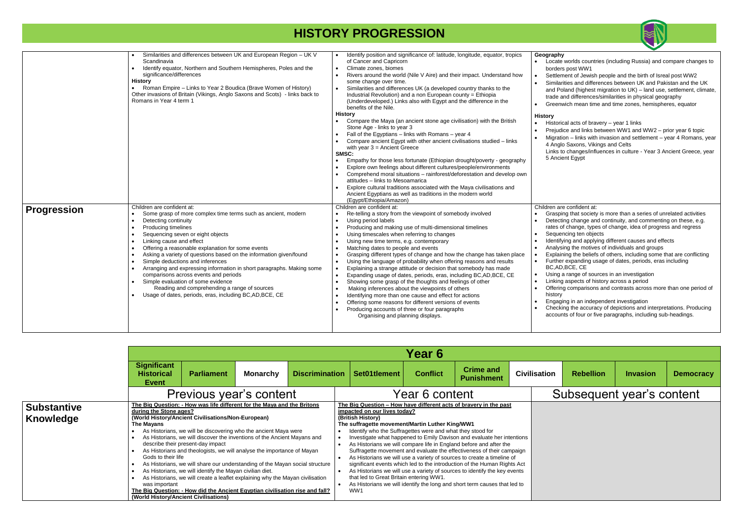#### **Geography**

- te worlds countries (including Russia) and compare changes to ers post WW1
- ement of Jewish people and the birth of Isreal post WW2
- arities and differences between UK and Pakistan and the UK Poland (highest migration to UK) – land use, settlement, climate,
- and differences/similarities in physical geography
- nwich mean time and time zones, hemispheres, equator
- $r$ ical acts of bravery year 1 links
- idice and links between WW1 and WW2 prior year 6 topic
- ation links with invasion and settlement year 4 Romans, year alo Saxons, Vikings and Celts
- to changes/influences in culture Year 3 Ancient Greece, year cient Egypt

are confident at:

- ping that society is more than a series of unrelated activities eting change and continuity, and commenting on these, e.g.  $\mathfrak s$  of change, types of change, idea of progress and regress
- encing ten objects
- ifying and applying different causes and effects
- sing the motives of individuals and groups
- aining the beliefs of others, including some that are conflicting er expanding usage of dates, periods, eras including
- $AD,BCE, CE$
- I a range of sources in an investigation
- ng aspects of history across a period
- ing comparisons and contrasts across more than one period of ry
- ging in an independent investigation
- exting the accuracy of depictions and interpretations. Producing unts of four or five paragraphs, including sub-headings.

|                    | Similarities and differences between UK and European Region - UK V<br>Scandinavia<br>Identify equator, Northern and Southern Hemispheres, Poles and the<br>$\bullet$<br>significance/differences<br><b>History</b><br>Roman Empire - Links to Year 2 Boudica (Brave Women of History)<br>$\bullet$<br>Other invasions of Britain (Vikings, Anglo Saxons and Scots) - links back to<br>Romans in Year 4 term 1                                                                                                                                                                                                                                                                                                                                                                                 | Identify position and significance of: latitude, longitude, equator, tropics<br>of Cancer and Capricorn<br>Climate zones, biomes<br>$\bullet$<br>Rivers around the world (Nile V Aire) and their impact. Understand how<br>some change over time.<br>Similarities and differences UK (a developed country thanks to the<br>Industrial Revolution) and a non European county = Ethiopia<br>(Underdeveloped.) Links also with Egypt and the difference in the<br>benefits of the Nile.<br><b>History</b><br>Compare the Maya (an ancient stone age civilisation) with the British<br>Stone Age - links to year 3<br>Fall of the Egyptians - links with Romans - year 4<br>Compare ancient Egypt with other ancient civilisations studied - links<br>with year $3 =$ Ancient Greece<br>SMSC:<br>Empathy for those less fortunate (Ethiopian drought/poverty - geography<br>Explore own feelings about different cultures/people/environments<br>Comprehend moral situations - rainforest/deforestation and develop own<br>attitudes - links to Mesoamarica<br>Explore cultural traditions associated with the Maya civilisations and<br>Ancient Egyptians as well as traditions in the modern world<br>(Egypt/Ethiopia/Amazon) | Geograph<br>Locat<br>borde<br>Settle<br>$\bullet$<br>Simila<br>and P<br>trade<br>Greer<br><b>History</b><br>Histor<br>Preju<br>Migra<br>4 Ang<br>Links<br>5 And            |
|--------------------|-----------------------------------------------------------------------------------------------------------------------------------------------------------------------------------------------------------------------------------------------------------------------------------------------------------------------------------------------------------------------------------------------------------------------------------------------------------------------------------------------------------------------------------------------------------------------------------------------------------------------------------------------------------------------------------------------------------------------------------------------------------------------------------------------|-----------------------------------------------------------------------------------------------------------------------------------------------------------------------------------------------------------------------------------------------------------------------------------------------------------------------------------------------------------------------------------------------------------------------------------------------------------------------------------------------------------------------------------------------------------------------------------------------------------------------------------------------------------------------------------------------------------------------------------------------------------------------------------------------------------------------------------------------------------------------------------------------------------------------------------------------------------------------------------------------------------------------------------------------------------------------------------------------------------------------------------------------------------------------------------------------------------------------------|----------------------------------------------------------------------------------------------------------------------------------------------------------------------------|
| <b>Progression</b> | Children are confident at:<br>Some grasp of more complex time terms such as ancient, modern<br>$\bullet$<br>Detecting continuity<br>$\bullet$<br>Producing timelines<br>$\bullet$<br>Sequencing seven or eight objects<br>$\bullet$<br>Linking cause and effect<br>$\bullet$<br>Offering a reasonable explanation for some events<br>$\bullet$<br>Asking a variety of questions based on the information given/found<br>$\bullet$<br>Simple deductions and inferences<br>$\bullet$<br>Arranging and expressing information in short paragraphs. Making some<br>$\bullet$<br>comparisons across events and periods<br>Simple evaluation of some evidence<br>$\bullet$<br>Reading and comprehending a range of sources<br>Usage of dates, periods, eras, including BC, AD, BCE, CE<br>$\bullet$ | Children are confident at:<br>Re-telling a story from the viewpoint of somebody involved<br>Using period labels<br>$\bullet$<br>Producing and making use of multi-dimensional timelines<br>Using timescales when referring to changes<br>Using new time terms, e.g. contemporary<br>Matching dates to people and events<br>Grasping different types of change and how the change has taken place<br>Using the language of probability when offering reasons and results<br>Explaining a strange attitude or decision that somebody has made<br>Expanding usage of dates, periods, eras, including BC, AD, BCE, CE<br>Showing some grasp of the thoughts and feelings of other<br>Making inferences about the viewpoints of others<br>Identifying more than one cause and effect for actions<br>Offering some reasons for different versions of events<br>Producing accounts of three or four paragraphs<br>Organising and planning displays.                                                                                                                                                                                                                                                                                | Children a<br>Grasp<br>Detec<br>rates<br>Seque<br>$\bullet$<br>Identi<br>Analy<br>Expla<br>Furth<br>BC,AI<br>Using<br>Linkin<br>Offeri<br>histor<br>Enga<br>Checl<br>accou |



|                                 |                                                                                                                                                | <b>Year 6</b>                                                                                                                                                                                                                                                                                                                                                                                                                                                                                                                                                                                                                                                                                                    |                 |                       |                                     |                                                                                                                                                                                                                      |                 |                                                                                                                                                                                                                                                                                                                                                                                                                                                                                                                                                                                                            |  |                     |
|---------------------------------|------------------------------------------------------------------------------------------------------------------------------------------------|------------------------------------------------------------------------------------------------------------------------------------------------------------------------------------------------------------------------------------------------------------------------------------------------------------------------------------------------------------------------------------------------------------------------------------------------------------------------------------------------------------------------------------------------------------------------------------------------------------------------------------------------------------------------------------------------------------------|-----------------|-----------------------|-------------------------------------|----------------------------------------------------------------------------------------------------------------------------------------------------------------------------------------------------------------------|-----------------|------------------------------------------------------------------------------------------------------------------------------------------------------------------------------------------------------------------------------------------------------------------------------------------------------------------------------------------------------------------------------------------------------------------------------------------------------------------------------------------------------------------------------------------------------------------------------------------------------------|--|---------------------|
|                                 | <b>Significant</b><br><b>Historical</b><br><b>Event</b>                                                                                        | <b>Parliament</b>                                                                                                                                                                                                                                                                                                                                                                                                                                                                                                                                                                                                                                                                                                | <b>Monarchy</b> | <b>Discrimination</b> |                                     | Set01tlement                                                                                                                                                                                                         | <b>Conflict</b> | <b>Crime and</b><br><b>Punishment</b>                                                                                                                                                                                                                                                                                                                                                                                                                                                                                                                                                                      |  | <b>Civilisation</b> |
|                                 |                                                                                                                                                | Previous year's content                                                                                                                                                                                                                                                                                                                                                                                                                                                                                                                                                                                                                                                                                          |                 |                       |                                     |                                                                                                                                                                                                                      | Year 6 content  |                                                                                                                                                                                                                                                                                                                                                                                                                                                                                                                                                                                                            |  |                     |
| <b>Substantive</b><br>Knowledge | during the Stone ages?<br>The Mayans<br>$\bullet$<br>Gods to their life<br>$\bullet$<br>was important<br>(World History/Ancient Civilisations) | The Big Question: - How was life different for the Maya and the Britons<br>(World History/Ancient Civilisations/Non-European)<br>As Historians, we will be discovering who the ancient Maya were<br>As Historians, we will discover the inventions of the Ancient Mayans and<br>describe their present-day impact<br>As Historians and theologists, we will analyse the importance of Mayan<br>As Historians, we will share our understanding of the Mayan social structure<br>As Historians, we will identify the Mayan civilian diet.<br>As Historians, we will create a leaflet explaining why the Mayan civilisation<br><u> The Big Question: - How did the Ancient Egyptian civilisation rise and fall?</u> |                 |                       | $\bullet$<br>$\bullet$<br>$\bullet$ | impacted on our lives today?<br>(British History)<br>The suffragette movement/Martin Luther King/WW1<br>Identify who the Suffragettes were and what they stood for<br>that led to Great Britain entering WW1.<br>WW1 |                 | The Big Question - How have different acts of bravery in the past<br>Investigate what happened to Emily Davison and evaluate her intentions<br>As Historians we will compare life in England before and after the<br>Suffragette movement and evaluate the effectiveness of their campaign<br>As Historians we will use a variety of sources to create a timeline of<br>significant events which led to the introduction of the Human Rights Act<br>As Historians we will use a variety of sources to identify the key events<br>As Historians we will identify the long and short term causes that led to |  |                     |

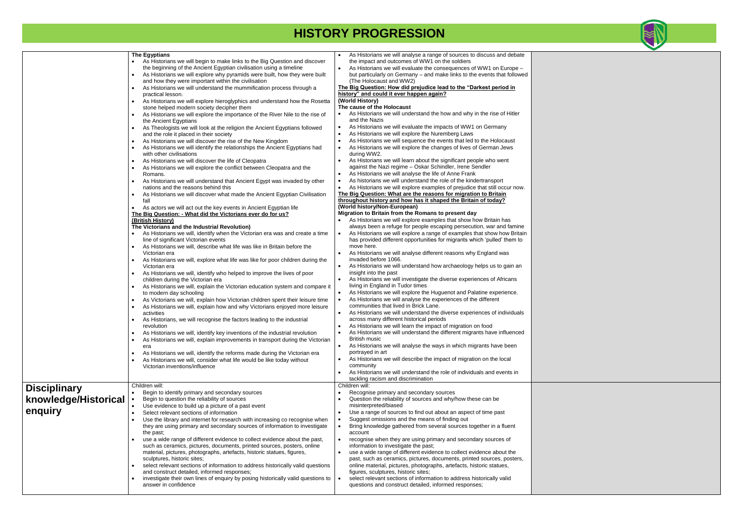|                                                        | <b>The Egyptians</b><br>As Historians we will begin to make links to the Big Question and discover<br>the beginning of the Ancient Egyptian civilisation using a timeline<br>As Historians we will explore why pyramids were built, how they were built<br>and how they were important within the civilisation<br>As Historians we will understand the mummification process through a<br>practical lesson.<br>As Historians we will explore hieroglyphics and understand how the Rosetta<br>stone helped modern society decipher them<br>As Historians we will explore the importance of the River Nile to the rise of<br>the Ancient Egyptians<br>As Theologists we will look at the religion the Ancient Egyptians followed<br>and the role it placed in their society<br>As Historians we will discover the rise of the New Kingdom<br>As Historians we will identify the relationships the Ancient Egyptians had<br>with other civilisations<br>As Historians we will discover the life of Cleopatra<br>$\bullet$<br>As Historians we will explore the conflict between Cleopatra and the<br>Romans.<br>As Historians we will understand that Ancient Egypt was invaded by other<br>nations and the reasons behind this<br>As Historians we will discover what made the Ancient Egyptian Civilisation<br>fall<br>As actors we will act out the key events in Ancient Egyptian life<br>The Big Question: - What did the Victorians ever do for us?<br>(British History)<br>The Victorians and the Industrial Revolution)<br>As Historians we will, identify when the Victorian era was and create a time<br>line of significant Victorian events<br>As Historians we will, describe what life was like in Britain before the<br>Victorian era<br>As Historians we will, explore what life was like for poor children during the<br>Victorian era<br>As Historians we will, identify who helped to improve the lives of poor<br>children during the Victorian era<br>As Historians we will, explain the Victorian education system and compare it<br>to modern day schooling<br>As Victorians we will, explain how Victorian children spent their leisure time<br>$\bullet$<br>As Historians we will, explain how and why Victorians enjoyed more leisure<br>activities<br>As Historians, we will recognise the factors leading to the industrial<br>$\bullet$<br>revolution<br>As Historians we will, identify key inventions of the industrial revolution<br>$\bullet$<br>As Historians we will, explain improvements in transport during the Victorian<br>era<br>As Historians we will, identify the reforms made during the Victorian era<br>$\bullet$<br>As Historians we will, consider what life would be like today without<br>Victorian inventions/influence | As Historians we will analyse a range of sources to discuss and debate<br>the impact and outcomes of WW1 on the soldiers<br>As Historians we will evaluate the consequences of WW1 on Europe -<br>$\bullet$<br>but particularly on Germany - and make links to the events that followed<br>(The Holocaust and WW2)<br>The Big Question: How did prejudice lead to the "Darkest period in<br>history" and could it ever happen again?<br>(World History)<br>The cause of the Holocaust<br>As Historians we will understand the how and why in the rise of Hitler<br>and the Nazis<br>As Historians we will evaluate the impacts of WW1 on Germany<br>$\bullet$<br>As Historians we will explore the Nuremberg Laws<br>As Historians we will sequence the events that led to the Holocaust<br>As Historians we will explore the changes of lives of German Jews<br>during WW2.<br>As Historians we will learn about the significant people who went<br>against the Nazi regime - Oskar Schindler, Irene Sendler<br>As Historians we will analyse the life of Anne Frank<br>As historians we will understand the role of the kindertransport<br>As Historians we will explore examples of prejudice that still occur now.<br>The Big Question: What are the reasons for migration to Britain<br>throughout history and how has it shaped the Britain of today?<br>(World history/Non-European)<br>Migration to Britain from the Romans to present day<br>As Historians we will explore examples that show how Britain has<br>always been a refuge for people escaping persecution, war and famine<br>As Historians we will explore a range of examples that show how Britain<br>has provided different opportunities for migrants which 'pulled' them to<br>move here.<br>As Historians we will analyse different reasons why England was<br>invaded before 1066.<br>As Historians we will understand how archaeology helps us to gain an<br>$\bullet$<br>insight into the past<br>As Historians we will investigate the diverse experiences of Africans<br>$\bullet$<br>living in England in Tudor times<br>As Historians we will explore the Huguenot and Palatine experience.<br>$\bullet$<br>As Historians we will analyse the experiences of the different<br>communities that lived in Brick Lane.<br>As Historians we will understand the diverse experiences of individuals<br>across many different historical periods<br>As Historians we will learn the impact of migration on food<br>As Historians we will understand the different migrants have influenced<br>British music<br>As Historians we will analyse the ways in which migrants have been<br>$\bullet$<br>portrayed in art<br>As Historians we will describe the impact of migration on the local<br>community<br>As Historians we will understand the role of individuals and events in<br>$\bullet$ |
|--------------------------------------------------------|--------------------------------------------------------------------------------------------------------------------------------------------------------------------------------------------------------------------------------------------------------------------------------------------------------------------------------------------------------------------------------------------------------------------------------------------------------------------------------------------------------------------------------------------------------------------------------------------------------------------------------------------------------------------------------------------------------------------------------------------------------------------------------------------------------------------------------------------------------------------------------------------------------------------------------------------------------------------------------------------------------------------------------------------------------------------------------------------------------------------------------------------------------------------------------------------------------------------------------------------------------------------------------------------------------------------------------------------------------------------------------------------------------------------------------------------------------------------------------------------------------------------------------------------------------------------------------------------------------------------------------------------------------------------------------------------------------------------------------------------------------------------------------------------------------------------------------------------------------------------------------------------------------------------------------------------------------------------------------------------------------------------------------------------------------------------------------------------------------------------------------------------------------------------------------------------------------------------------------------------------------------------------------------------------------------------------------------------------------------------------------------------------------------------------------------------------------------------------------------------------------------------------------------------------------------------------------------------------------------------------------------------------------------------------------------------------------------------------------------------------------------------------|---------------------------------------------------------------------------------------------------------------------------------------------------------------------------------------------------------------------------------------------------------------------------------------------------------------------------------------------------------------------------------------------------------------------------------------------------------------------------------------------------------------------------------------------------------------------------------------------------------------------------------------------------------------------------------------------------------------------------------------------------------------------------------------------------------------------------------------------------------------------------------------------------------------------------------------------------------------------------------------------------------------------------------------------------------------------------------------------------------------------------------------------------------------------------------------------------------------------------------------------------------------------------------------------------------------------------------------------------------------------------------------------------------------------------------------------------------------------------------------------------------------------------------------------------------------------------------------------------------------------------------------------------------------------------------------------------------------------------------------------------------------------------------------------------------------------------------------------------------------------------------------------------------------------------------------------------------------------------------------------------------------------------------------------------------------------------------------------------------------------------------------------------------------------------------------------------------------------------------------------------------------------------------------------------------------------------------------------------------------------------------------------------------------------------------------------------------------------------------------------------------------------------------------------------------------------------------------------------------------------------------------------------------------------------------------------------------------------------------------------------------------------------------------------------------------------------------------------------------------------------|
|                                                        |                                                                                                                                                                                                                                                                                                                                                                                                                                                                                                                                                                                                                                                                                                                                                                                                                                                                                                                                                                                                                                                                                                                                                                                                                                                                                                                                                                                                                                                                                                                                                                                                                                                                                                                                                                                                                                                                                                                                                                                                                                                                                                                                                                                                                                                                                                                                                                                                                                                                                                                                                                                                                                                                                                                                                                          | tackling racism and discrimination                                                                                                                                                                                                                                                                                                                                                                                                                                                                                                                                                                                                                                                                                                                                                                                                                                                                                                                                                                                                                                                                                                                                                                                                                                                                                                                                                                                                                                                                                                                                                                                                                                                                                                                                                                                                                                                                                                                                                                                                                                                                                                                                                                                                                                                                                                                                                                                                                                                                                                                                                                                                                                                                                                                                                                                                                                        |
| <b>Disciplinary</b><br>knowledge/Historical<br>enquiry | Children will:<br>Begin to identify primary and secondary sources<br>$\bullet$<br>Begin to question the reliability of sources<br>Use evidence to build up a picture of a past event<br>$\bullet$<br>Select relevant sections of information<br>$\bullet$<br>Use the library and internet for research with increasing co recognise when<br>they are using primary and secondary sources of information to investigate<br>the past;<br>use a wide range of different evidence to collect evidence about the past,<br>such as ceramics, pictures, documents, printed sources, posters, online<br>material, pictures, photographs, artefacts, historic statues, figures,<br>sculptures, historic sites;<br>select relevant sections of information to address historically valid questions<br>and construct detailed, informed responses;<br>investigate their own lines of enquiry by posing historically valid questions to<br>$\bullet$<br>answer in confidence                                                                                                                                                                                                                                                                                                                                                                                                                                                                                                                                                                                                                                                                                                                                                                                                                                                                                                                                                                                                                                                                                                                                                                                                                                                                                                                                                                                                                                                                                                                                                                                                                                                                                                                                                                                                         | Children will:<br>Recognise primary and secondary sources<br>Question the reliability of sources and why/how these can be<br>misinterpreted/biased<br>Use a range of sources to find out about an aspect of time past<br>Suggest omissions and the means of finding out<br>Bring knowledge gathered from several sources together in a fluent<br>account<br>recognise when they are using primary and secondary sources of<br>information to investigate the past;<br>use a wide range of different evidence to collect evidence about the<br>past, such as ceramics, pictures, documents, printed sources, posters,<br>online material, pictures, photographs, artefacts, historic statues,<br>figures, sculptures, historic sites;<br>select relevant sections of information to address historically valid<br>questions and construct detailed, informed responses;                                                                                                                                                                                                                                                                                                                                                                                                                                                                                                                                                                                                                                                                                                                                                                                                                                                                                                                                                                                                                                                                                                                                                                                                                                                                                                                                                                                                                                                                                                                                                                                                                                                                                                                                                                                                                                                                                                                                                                                                    |

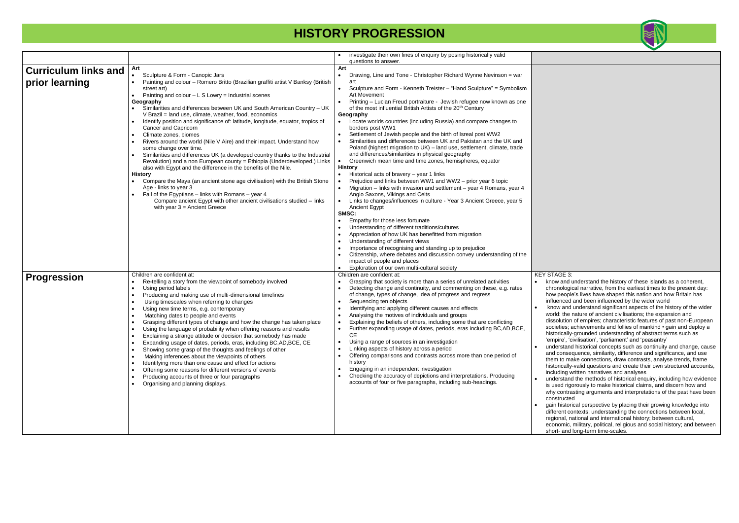|                                               |                                                                                                                                                                                                                                                                                                                                                                                                                                                                                                                                                                                                                                                                                                                                                                                                                                                                                                                                                                                                                                                                                                                                       | investigate their own lines of enquiry by posing historically valid<br>questions to answer.                                                                                                                                                                                                                                                                                                                                                                                                                                                                                                                                                                                                                                                                                                                                                                                                                                                                                                                                                                                                                                                                         |                                                                                                                                                                                                                                                                                |
|-----------------------------------------------|---------------------------------------------------------------------------------------------------------------------------------------------------------------------------------------------------------------------------------------------------------------------------------------------------------------------------------------------------------------------------------------------------------------------------------------------------------------------------------------------------------------------------------------------------------------------------------------------------------------------------------------------------------------------------------------------------------------------------------------------------------------------------------------------------------------------------------------------------------------------------------------------------------------------------------------------------------------------------------------------------------------------------------------------------------------------------------------------------------------------------------------|---------------------------------------------------------------------------------------------------------------------------------------------------------------------------------------------------------------------------------------------------------------------------------------------------------------------------------------------------------------------------------------------------------------------------------------------------------------------------------------------------------------------------------------------------------------------------------------------------------------------------------------------------------------------------------------------------------------------------------------------------------------------------------------------------------------------------------------------------------------------------------------------------------------------------------------------------------------------------------------------------------------------------------------------------------------------------------------------------------------------------------------------------------------------|--------------------------------------------------------------------------------------------------------------------------------------------------------------------------------------------------------------------------------------------------------------------------------|
| <b>Curriculum links and</b><br>prior learning | Art<br>Sculpture & Form - Canopic Jars<br>Painting and colour - Romero Britto (Brazilian graffiti artist V Banksy (British<br>street art)<br>Painting and $colour - L S Lowry = Industrial scenes$<br>Geography<br>Similarities and differences between UK and South American Country - UK<br>V Brazil = land use, climate, weather, food, economics<br>Identify position and significance of: latitude, longitude, equator, tropics of<br>Cancer and Capricorn<br>Climate zones, biomes<br>$\bullet$<br>Rivers around the world (Nile V Aire) and their impact. Understand how<br>some change over time.<br>Similarities and differences UK (a developed country thanks to the Industrial<br>Revolution) and a non European county = Ethiopia (Underdeveloped.) Links<br>also with Egypt and the difference in the benefits of the Nile.<br><b>History</b><br>Compare the Maya (an ancient stone age civilisation) with the British Stone<br>Age - links to year 3<br>Fall of the Egyptians - links with Romans - year 4<br>Compare ancient Egypt with other ancient civilisations studied - links<br>with year $3 =$ Ancient Greece | Art<br>Drawing, Line and Tone - Christopher Richard Wynne Nevinson = war<br>$\bullet$<br>art<br>Sculpture and Form - Kenneth Treister - "Hand Sculpture" = Symbolism<br>$\bullet$<br>Art Movement<br>Printing - Lucian Freud portraiture - Jewish refugee now known as one<br>of the most influential British Artists of the 20 <sup>th</sup> Century<br>Geography<br>Locate worlds countries (including Russia) and compare changes to<br>borders post WW1<br>Settlement of Jewish people and the birth of Isreal post WW2<br>Similarities and differences between UK and Pakistan and the UK and<br>Poland (highest migration to UK) - land use, settlement, climate, trade<br>and differences/similarities in physical geography<br>Greenwich mean time and time zones, hemispheres, equator<br>$\bullet$<br><b>History</b><br>Historical acts of bravery - year 1 links<br>Prejudice and links between WW1 and WW2 - prior year 6 topic<br>Migration - links with invasion and settlement - year 4 Romans, year 4<br>Anglo Saxons, Vikings and Celts<br>Links to changes/influences in culture - Year 3 Ancient Greece, year 5<br><b>Ancient Egypt</b><br>SMSC: |                                                                                                                                                                                                                                                                                |
|                                               |                                                                                                                                                                                                                                                                                                                                                                                                                                                                                                                                                                                                                                                                                                                                                                                                                                                                                                                                                                                                                                                                                                                                       | Empathy for those less fortunate<br>Understanding of different traditions/cultures<br>Appreciation of how UK has benefitted from migration<br>Understanding of different views<br>Importance of recognising and standing up to prejudice<br>Citizenship, where debates and discussion convey understanding of the<br>impact of people and places                                                                                                                                                                                                                                                                                                                                                                                                                                                                                                                                                                                                                                                                                                                                                                                                                    |                                                                                                                                                                                                                                                                                |
| <b>Progression</b>                            | Children are confident at:<br>Re-telling a story from the viewpoint of somebody involved<br>Using period labels<br>Producing and making use of multi-dimensional timelines<br>Using timescales when referring to changes<br>Using new time terms, e.g. contemporary<br>Matching dates to people and events<br>Grasping different types of change and how the change has taken place<br>Using the language of probability when offering reasons and results<br>$\bullet$<br>Explaining a strange attitude or decision that somebody has made<br>Expanding usage of dates, periods, eras, including BC, AD, BCE, CE<br>Showing some grasp of the thoughts and feelings of other<br>Making inferences about the viewpoints of others<br>Identifying more than one cause and effect for actions<br>Offering some reasons for different versions of events<br>Producing accounts of three or four paragraphs<br>Organising and planning displays.                                                                                                                                                                                          | Exploration of our own multi-cultural society<br>Children are confident at:<br>Grasping that society is more than a series of unrelated activities<br>Detecting change and continuity, and commenting on these, e.g. rates<br>of change, types of change, idea of progress and regress<br>Sequencing ten objects<br>Identifying and applying different causes and effects<br>Analysing the motives of individuals and groups<br>Explaining the beliefs of others, including some that are conflicting<br>Further expanding usage of dates, periods, eras including BC, AD, BCE,<br><b>CE</b><br>Using a range of sources in an investigation<br>Linking aspects of history across a period<br>Offering comparisons and contrasts across more than one period of<br>history<br>Engaging in an independent investigation<br>Checking the accuracy of depictions and interpretations. Producing<br>accounts of four or five paragraphs, including sub-headings.                                                                                                                                                                                                        | <b>KEY STAG</b><br>know a<br>$\bullet$<br>chrono<br>how p<br>influer<br>know<br>world:<br>dissol<br>societi<br>histori<br>'empir<br>unders<br>and co<br>them t<br>histori<br>includi<br>unders<br>is use<br>why co<br>constr<br>gain h<br>differe<br>region<br>econo<br>short- |



 $\overline{\text{SE 3:}}$ 

and understand the history of these islands as a coherent, ological narrative, from the earliest times to the present day: eople's lives have shaped this nation and how Britain has nced and been influenced by the wider world

and understand significant aspects of the history of the wider the nature of ancient civilisations; the expansion and ution of empires; characteristic features of past non-European ies; achievements and follies of mankind • gain and deploy a ically-grounded understanding of abstract terms such as e', 'civilisation', 'parliament' and 'peasantry'

stand historical concepts such as continuity and change, cause onsequence, similarity, difference and significance, and use to make connections, draw contrasts, analyse trends, frame ically-valid questions and create their own structured accounts, ing written narratives and analyses

stand the methods of historical enquiry, including how evidence d rigorously to make historical claims, and discern how and ontrasting arguments and interpretations of the past have been ucted<sup>-</sup>

istorical perspective by placing their growing knowledge into nt contexts: understanding the connections between local, al, national and international history; between cultural, mic, military, political, religious and social history; and between and long-term time-scales.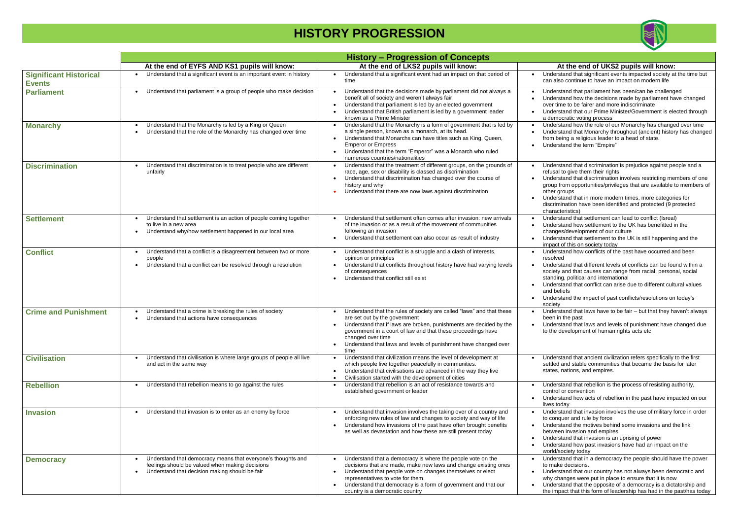|                                                |                                                                                                                                                                   | <b>History – Progression of Concepts</b>                                                                                                                                                                                                                                                                                                                  |                                                                                            |  |  |
|------------------------------------------------|-------------------------------------------------------------------------------------------------------------------------------------------------------------------|-----------------------------------------------------------------------------------------------------------------------------------------------------------------------------------------------------------------------------------------------------------------------------------------------------------------------------------------------------------|--------------------------------------------------------------------------------------------|--|--|
|                                                | At the end of EYFS AND KS1 pupils will know:                                                                                                                      | At the end of LKS2 pupils will know:                                                                                                                                                                                                                                                                                                                      |                                                                                            |  |  |
| <b>Significant Historical</b><br><b>Events</b> | Understand that a significant event is an important event in history                                                                                              | Understand that a significant event had an impact on that period of<br>$\bullet$<br>time                                                                                                                                                                                                                                                                  | Unders<br>can als                                                                          |  |  |
| <b>Parliament</b>                              | Understand that parliament is a group of people who make decision                                                                                                 | Understand that the decisions made by parliament did not always a<br>benefit all of society and weren't always fair<br>Understand that parliament is led by an elected government<br>Understand that British parliament is led by a government leader<br>known as a Prime Minister                                                                        | Unders<br>Unders<br>over tir<br><b>Unders</b><br>a demo                                    |  |  |
| <b>Monarchy</b>                                | Understand that the Monarchy is led by a King or Queen<br>Understand that the role of the Monarchy has changed over time                                          | Understand that the Monarchy is a form of government that is led by<br>a single person, known as a monarch, at its head.<br>Understand that Monarchs can have titles such as King, Queen,<br><b>Emperor or Empress</b><br>Understand that the term "Emperor" was a Monarch who ruled<br>numerous countries/nationalities                                  | Unders<br>Unders<br>from be<br>Unders                                                      |  |  |
| <b>Discrimination</b>                          | Understand that discrimination is to treat people who are different<br>unfairly                                                                                   | Understand that the treatment of different groups, on the grounds of<br>race, age, sex or disability is classed as discrimination<br>Understand that discrimination has changed over the course of<br>history and why<br>Understand that there are now laws against discrimination                                                                        | Unders<br>refusal<br>Unders<br>group 1<br>other g<br>Unders<br>discrim<br>charac           |  |  |
| <b>Settlement</b>                              | Understand that settlement is an action of people coming together<br>to live in a new area<br>Understand why/how settlement happened in our local area            | Understand that settlement often comes after invasion: new arrivals<br>$\bullet$<br>of the invasion or as a result of the movement of communities<br>following an invasion<br>Understand that settlement can also occur as result of industry                                                                                                             | Unders<br>Unders<br>change<br>Unders<br>impact                                             |  |  |
| <b>Conflict</b>                                | Understand that a conflict is a disagreement between two or more<br>$\bullet$<br>people<br>Understand that a conflict can be resolved through a resolution        | Understand that conflict is a struggle and a clash of interests,<br>opinion or principles<br>Understand that conflicts throughout history have had varying levels<br>of consequences<br>Understand that conflict still exist                                                                                                                              | Unders<br>resolve<br>Unders<br>society<br>standir<br>Unders<br>and be<br>Unders<br>society |  |  |
| <b>Crime and Punishment</b>                    | Understand that a crime is breaking the rules of society<br>Understand that actions have consequences                                                             | Understand that the rules of society are called "laws" and that these<br>are set out by the government<br>Understand that if laws are broken, punishments are decided by the<br>government in a court of law and that these proceedings have<br>changed over time<br>Understand that laws and levels of punishment have changed over<br>$\bullet$<br>time | Unders<br>been ir<br>Unders<br>to the o                                                    |  |  |
| <b>Civilisation</b>                            | Understand that civilisation is where large groups of people all live<br>and act in the same way                                                                  | Understand that civilization means the level of development at<br>$\bullet$<br>which people live together peacefully in communities.<br>Understand that civilisations are advanced in the way they live<br>Civilisation started with the development of cities                                                                                            | Unders<br>settled<br>states,                                                               |  |  |
| <b>Rebellion</b>                               | Understand that rebellion means to go against the rules                                                                                                           | Understand that rebellion is an act of resistance towards and<br>established government or leader                                                                                                                                                                                                                                                         | Unders<br>control<br>Unders<br>lives to                                                    |  |  |
| <b>Invasion</b>                                | Understand that invasion is to enter as an enemy by force                                                                                                         | Understand that invasion involves the taking over of a country and<br>enforcing new rules of law and changes to society and way of life<br>Understand how invasions of the past have often brought benefits<br>as well as devastation and how these are still present today                                                                               | Unders<br>to cond<br>Unders<br>betwee<br>Unders<br>Unders<br>world/s                       |  |  |
| <b>Democracy</b>                               | Understand that democracy means that everyone's thoughts and<br>feelings should be valued when making decisions<br>Understand that decision making should be fair | Understand that a democracy is where the people vote on the<br>decisions that are made, make new laws and change existing ones<br>Understand that people vote on changes themselves or elect<br>representatives to vote for them.<br>Understand that democracy is a form of government and that our<br>country is a democratic country                    | Unders<br>to mak<br>Unders<br>why ch<br>Unders<br>the imp                                  |  |  |



### At the end of UKS2 pupils will know: stand that significant events impacted society at the time but

so continue to have an impact on modern life

- stand that parliament has been/can be challenged stand how the decisions made by parliament have changed  $me$  to be fairer and more indiscriminate
- stand that our Prime Minister/Government is elected through ocratic voting process
- stand how the role of our Monarchy has changed over time stand that Monarchy throughout (ancient) history has changed eing a religious leader to a head of state. stand the term "Empire"

stand that discrimination is prejudice against people and a I to give them their rights

- stand that discrimination involves restricting members of one from opportunities/privileges that are available to members of groups
- stand that in more modern times, more categories for  $n$ ination have been identified and protected (9 protected cteristics)
- stand that settlement can lead to conflict (Isreal)
- stand how settlement to the UK has benefitted in the es/development of our culture
- stand that settlement to the UK is still happening and the t of this on society today
- stand how conflicts of the past have occurred and been ed
- stand that different levels of conflicts can be found within a y and that causes can range from racial, personal, social ng, political and international
- <sub>stand</sub> that conflict can arise due to different cultural values aliefs
- stand the impact of past conflicts/resolutions on today's
- stand that laws have to be fair but that they haven't always in the past
- stand that laws and levels of punishment have changed due development of human rights acts etc

stand that ancient civilization refers specifically to the first and stable communities that became the basis for later nations, and empires.

- stand that rebellion is the process of resisting authority, I or convention
- stand how acts of rebellion in the past have impacted on our day
- stand that invasion involves the use of military force in order quer and rule by force
- stand the motives behind some invasions and the link en invasion and empires
- stand that invasion is an uprising of power
- stand how past invasions have had an impact on the society today
- stand that in a democracy the people should have the power te decisions.
- stand that our country has not always been democratic and anges were put in place to ensure that it is now
- stand that the opposite of a democracy is a dictatorship and pact that this form of leadership has had in the past/has today